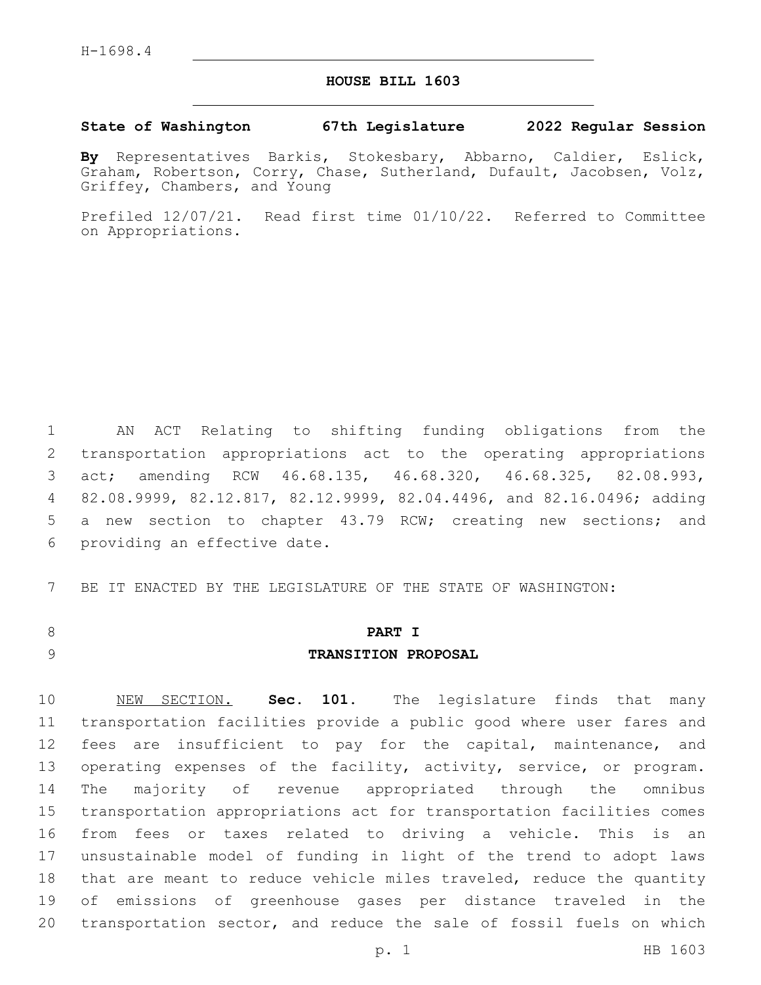## **HOUSE BILL 1603**

#### **State of Washington 67th Legislature 2022 Regular Session**

**By** Representatives Barkis, Stokesbary, Abbarno, Caldier, Eslick, Graham, Robertson, Corry, Chase, Sutherland, Dufault, Jacobsen, Volz, Griffey, Chambers, and Young

Prefiled 12/07/21. Read first time 01/10/22. Referred to Committee on Appropriations.

 AN ACT Relating to shifting funding obligations from the transportation appropriations act to the operating appropriations act; amending RCW 46.68.135, 46.68.320, 46.68.325, 82.08.993, 82.08.9999, 82.12.817, 82.12.9999, 82.04.4496, and 82.16.0496; adding a new section to chapter 43.79 RCW; creating new sections; and 6 providing an effective date.

7 BE IT ENACTED BY THE LEGISLATURE OF THE STATE OF WASHINGTON:

## 8 **PART I**

#### 9 **TRANSITION PROPOSAL**

 NEW SECTION. **Sec. 101.** The legislature finds that many transportation facilities provide a public good where user fares and fees are insufficient to pay for the capital, maintenance, and 13 operating expenses of the facility, activity, service, or program. The majority of revenue appropriated through the omnibus transportation appropriations act for transportation facilities comes from fees or taxes related to driving a vehicle. This is an unsustainable model of funding in light of the trend to adopt laws 18 that are meant to reduce vehicle miles traveled, reduce the quantity of emissions of greenhouse gases per distance traveled in the transportation sector, and reduce the sale of fossil fuels on which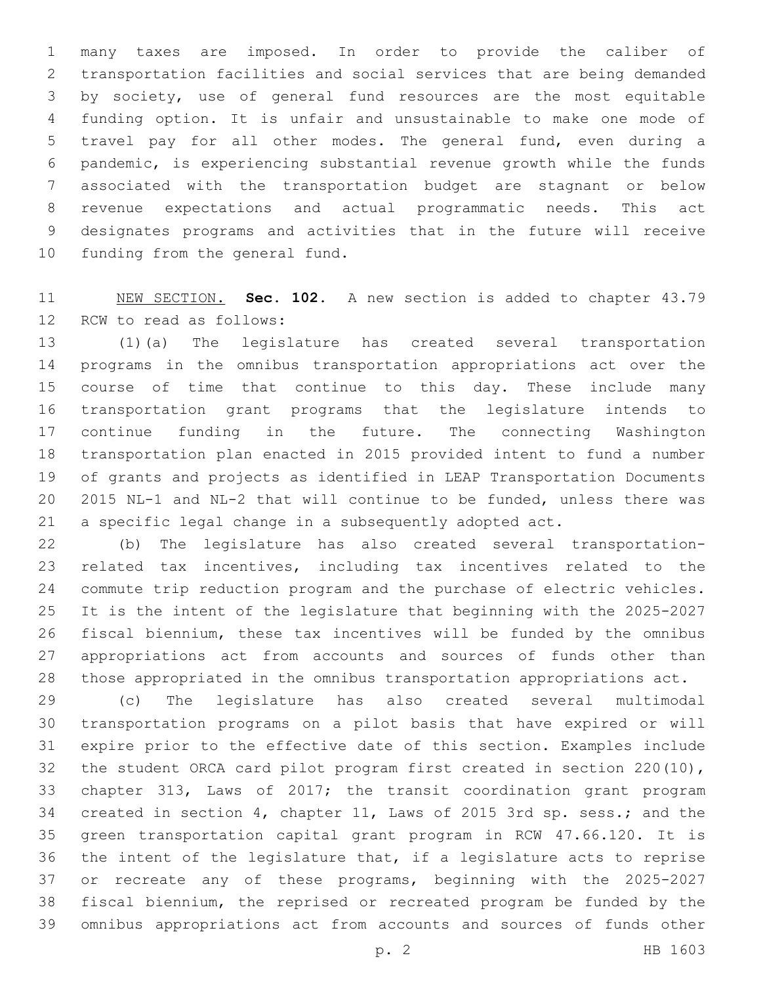many taxes are imposed. In order to provide the caliber of transportation facilities and social services that are being demanded by society, use of general fund resources are the most equitable funding option. It is unfair and unsustainable to make one mode of travel pay for all other modes. The general fund, even during a pandemic, is experiencing substantial revenue growth while the funds associated with the transportation budget are stagnant or below revenue expectations and actual programmatic needs. This act designates programs and activities that in the future will receive 10 funding from the general fund.

 NEW SECTION. **Sec. 102.** A new section is added to chapter 43.79 RCW to read as follows:

 (1)(a) The legislature has created several transportation programs in the omnibus transportation appropriations act over the course of time that continue to this day. These include many transportation grant programs that the legislature intends to continue funding in the future. The connecting Washington transportation plan enacted in 2015 provided intent to fund a number of grants and projects as identified in LEAP Transportation Documents 2015 NL-1 and NL-2 that will continue to be funded, unless there was a specific legal change in a subsequently adopted act.

 (b) The legislature has also created several transportation- related tax incentives, including tax incentives related to the commute trip reduction program and the purchase of electric vehicles. It is the intent of the legislature that beginning with the 2025-2027 fiscal biennium, these tax incentives will be funded by the omnibus appropriations act from accounts and sources of funds other than those appropriated in the omnibus transportation appropriations act.

 (c) The legislature has also created several multimodal transportation programs on a pilot basis that have expired or will expire prior to the effective date of this section. Examples include the student ORCA card pilot program first created in section 220(10), chapter 313, Laws of 2017; the transit coordination grant program created in section 4, chapter 11, Laws of 2015 3rd sp. sess.; and the green transportation capital grant program in RCW 47.66.120. It is the intent of the legislature that, if a legislature acts to reprise or recreate any of these programs, beginning with the 2025-2027 fiscal biennium, the reprised or recreated program be funded by the omnibus appropriations act from accounts and sources of funds other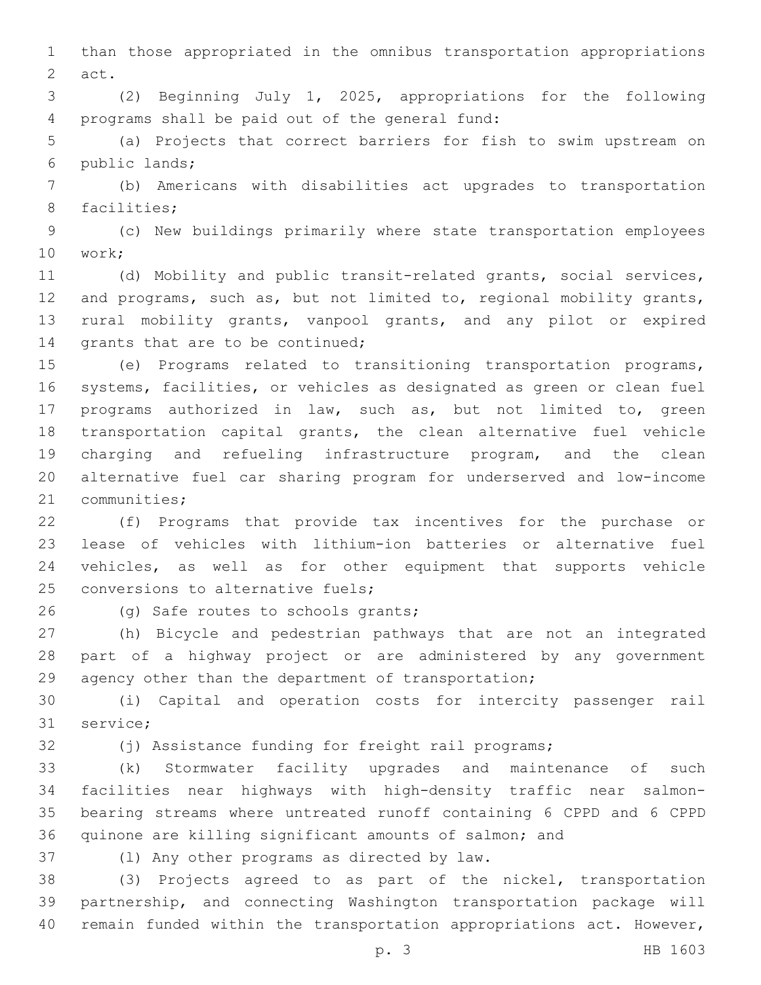than those appropriated in the omnibus transportation appropriations 2 act.

 (2) Beginning July 1, 2025, appropriations for the following 4 programs shall be paid out of the general fund:

 (a) Projects that correct barriers for fish to swim upstream on public lands;6

 (b) Americans with disabilities act upgrades to transportation 8 facilities:

 (c) New buildings primarily where state transportation employees 10 work;

 (d) Mobility and public transit-related grants, social services, and programs, such as, but not limited to, regional mobility grants, rural mobility grants, vanpool grants, and any pilot or expired 14 grants that are to be continued;

 (e) Programs related to transitioning transportation programs, systems, facilities, or vehicles as designated as green or clean fuel programs authorized in law, such as, but not limited to, green transportation capital grants, the clean alternative fuel vehicle charging and refueling infrastructure program, and the clean alternative fuel car sharing program for underserved and low-income 21 communities;

 (f) Programs that provide tax incentives for the purchase or lease of vehicles with lithium-ion batteries or alternative fuel vehicles, as well as for other equipment that supports vehicle 25 conversions to alternative fuels;

26 (g) Safe routes to schools grants;

 (h) Bicycle and pedestrian pathways that are not an integrated part of a highway project or are administered by any government agency other than the department of transportation;

 (i) Capital and operation costs for intercity passenger rail 31 service;

(j) Assistance funding for freight rail programs;

 (k) Stormwater facility upgrades and maintenance of such facilities near highways with high-density traffic near salmon- bearing streams where untreated runoff containing 6 CPPD and 6 CPPD quinone are killing significant amounts of salmon; and

37 (1) Any other programs as directed by law.

 (3) Projects agreed to as part of the nickel, transportation partnership, and connecting Washington transportation package will remain funded within the transportation appropriations act. However,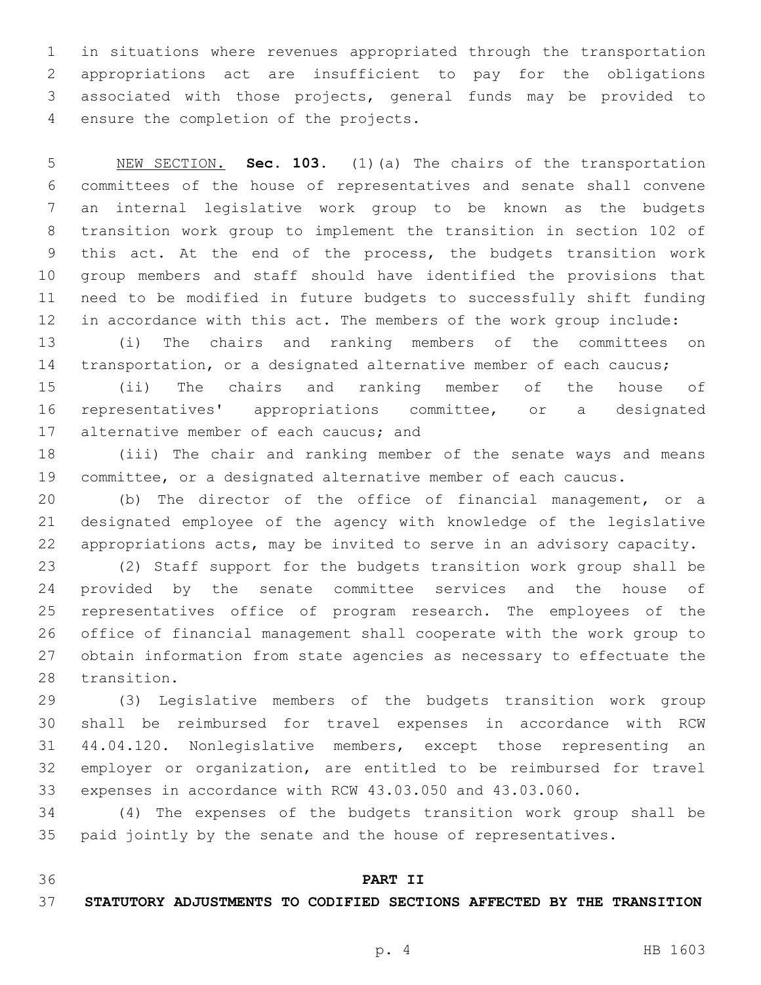in situations where revenues appropriated through the transportation appropriations act are insufficient to pay for the obligations associated with those projects, general funds may be provided to 4 ensure the completion of the projects.

 NEW SECTION. **Sec. 103.** (1)(a) The chairs of the transportation committees of the house of representatives and senate shall convene an internal legislative work group to be known as the budgets transition work group to implement the transition in section 102 of this act. At the end of the process, the budgets transition work group members and staff should have identified the provisions that need to be modified in future budgets to successfully shift funding in accordance with this act. The members of the work group include:

 (i) The chairs and ranking members of the committees on 14 transportation, or a designated alternative member of each caucus;

 (ii) The chairs and ranking member of the house of representatives' appropriations committee, or a designated 17 alternative member of each caucus; and

 (iii) The chair and ranking member of the senate ways and means committee, or a designated alternative member of each caucus.

 (b) The director of the office of financial management, or a designated employee of the agency with knowledge of the legislative appropriations acts, may be invited to serve in an advisory capacity.

 (2) Staff support for the budgets transition work group shall be provided by the senate committee services and the house of representatives office of program research. The employees of the office of financial management shall cooperate with the work group to obtain information from state agencies as necessary to effectuate the 28 transition.

 (3) Legislative members of the budgets transition work group shall be reimbursed for travel expenses in accordance with RCW 44.04.120. Nonlegislative members, except those representing an employer or organization, are entitled to be reimbursed for travel expenses in accordance with RCW 43.03.050 and 43.03.060.

 (4) The expenses of the budgets transition work group shall be paid jointly by the senate and the house of representatives.

### **PART II**

#### **STATUTORY ADJUSTMENTS TO CODIFIED SECTIONS AFFECTED BY THE TRANSITION**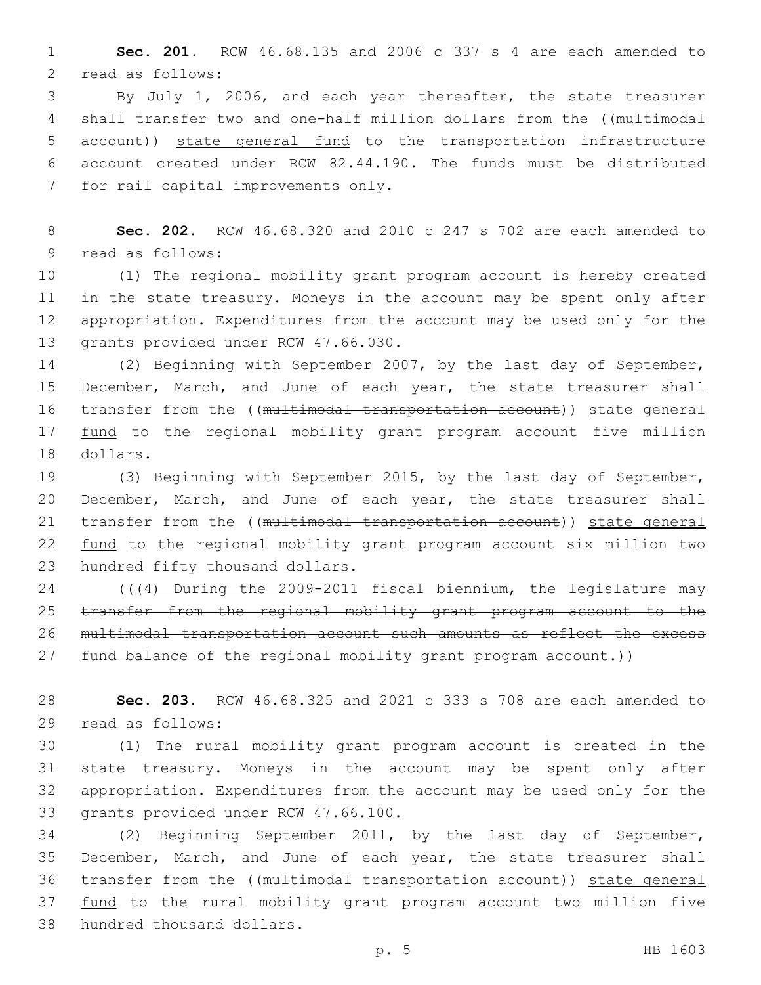1 **Sec. 201.** RCW 46.68.135 and 2006 c 337 s 4 are each amended to 2 read as follows:

3 By July 1, 2006, and each year thereafter, the state treasurer 4 shall transfer two and one-half million dollars from the ((multimodal 5 account)) state general fund to the transportation infrastructure 6 account created under RCW 82.44.190. The funds must be distributed 7 for rail capital improvements only.

8 **Sec. 202.** RCW 46.68.320 and 2010 c 247 s 702 are each amended to 9 read as follows:

 (1) The regional mobility grant program account is hereby created in the state treasury. Moneys in the account may be spent only after appropriation. Expenditures from the account may be used only for the 13 grants provided under RCW 47.66.030.

14 (2) Beginning with September 2007, by the last day of September, 15 December, March, and June of each year, the state treasurer shall 16 transfer from the ((multimodal transportation account)) state general 17 fund to the regional mobility grant program account five million 18 dollars.

19 (3) Beginning with September 2015, by the last day of September, 20 December, March, and June of each year, the state treasurer shall 21 transfer from the ((multimodal transportation account)) state general 22 fund to the regional mobility grant program account six million two 23 hundred fifty thousand dollars.

24 (((4) During the 2009-2011 fiscal biennium, the legislature may 25 transfer from the regional mobility grant program account to the 26 multimodal transportation account such amounts as reflect the excess 27 fund balance of the regional mobility grant program account.))

28 **Sec. 203.** RCW 46.68.325 and 2021 c 333 s 708 are each amended to 29 read as follows:

 (1) The rural mobility grant program account is created in the state treasury. Moneys in the account may be spent only after appropriation. Expenditures from the account may be used only for the 33 grants provided under RCW 47.66.100.

34 (2) Beginning September 2011, by the last day of September, 35 December, March, and June of each year, the state treasurer shall 36 transfer from the ((multimodal transportation account)) state general 37 fund to the rural mobility grant program account two million five 38 hundred thousand dollars.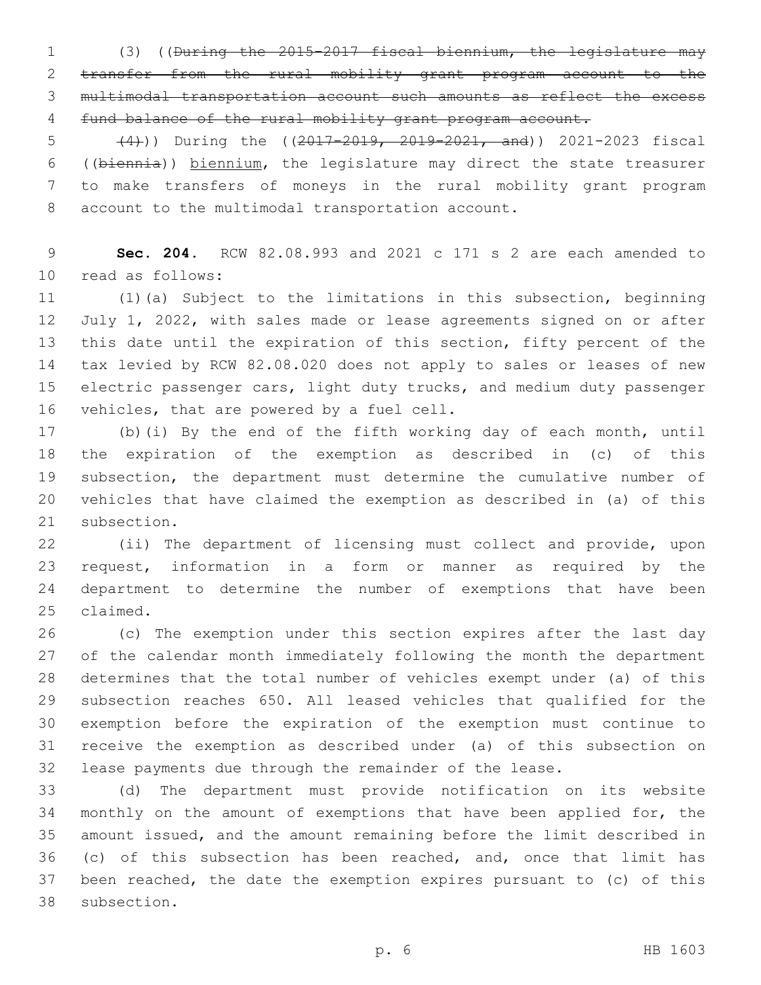(3) ((During the 2015-2017 fiscal biennium, the legislature may transfer from the rural mobility grant program account to the multimodal transportation account such amounts as reflect the excess fund balance of the rural mobility grant program account.

5 (44))) During the ((2017-2019, 2019-2021, and)) 2021-2023 fiscal ((biennia)) biennium, the legislature may direct the state treasurer to make transfers of moneys in the rural mobility grant program 8 account to the multimodal transportation account.

 **Sec. 204.** RCW 82.08.993 and 2021 c 171 s 2 are each amended to 10 read as follows:

 (1)(a) Subject to the limitations in this subsection, beginning July 1, 2022, with sales made or lease agreements signed on or after this date until the expiration of this section, fifty percent of the tax levied by RCW 82.08.020 does not apply to sales or leases of new 15 electric passenger cars, light duty trucks, and medium duty passenger 16 vehicles, that are powered by a fuel cell.

 (b)(i) By the end of the fifth working day of each month, until the expiration of the exemption as described in (c) of this subsection, the department must determine the cumulative number of vehicles that have claimed the exemption as described in (a) of this 21 subsection.

 (ii) The department of licensing must collect and provide, upon request, information in a form or manner as required by the department to determine the number of exemptions that have been 25 claimed.

 (c) The exemption under this section expires after the last day of the calendar month immediately following the month the department determines that the total number of vehicles exempt under (a) of this subsection reaches 650. All leased vehicles that qualified for the exemption before the expiration of the exemption must continue to receive the exemption as described under (a) of this subsection on lease payments due through the remainder of the lease.

 (d) The department must provide notification on its website monthly on the amount of exemptions that have been applied for, the amount issued, and the amount remaining before the limit described in (c) of this subsection has been reached, and, once that limit has been reached, the date the exemption expires pursuant to (c) of this 38 subsection.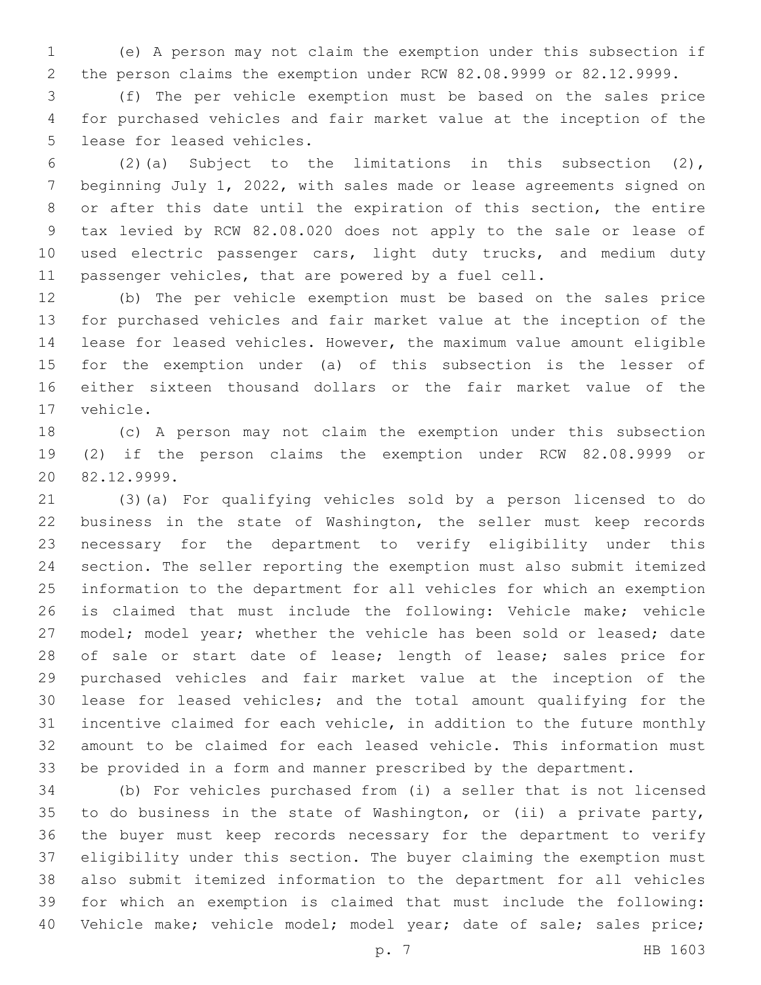(e) A person may not claim the exemption under this subsection if the person claims the exemption under RCW 82.08.9999 or 82.12.9999.

 (f) The per vehicle exemption must be based on the sales price for purchased vehicles and fair market value at the inception of the 5 lease for leased vehicles.

 (2)(a) Subject to the limitations in this subsection (2), beginning July 1, 2022, with sales made or lease agreements signed on or after this date until the expiration of this section, the entire tax levied by RCW 82.08.020 does not apply to the sale or lease of 10 used electric passenger cars, light duty trucks, and medium duty passenger vehicles, that are powered by a fuel cell.

 (b) The per vehicle exemption must be based on the sales price for purchased vehicles and fair market value at the inception of the lease for leased vehicles. However, the maximum value amount eligible for the exemption under (a) of this subsection is the lesser of either sixteen thousand dollars or the fair market value of the 17 vehicle.

 (c) A person may not claim the exemption under this subsection (2) if the person claims the exemption under RCW 82.08.9999 or 82.12.9999.20

 (3)(a) For qualifying vehicles sold by a person licensed to do business in the state of Washington, the seller must keep records necessary for the department to verify eligibility under this section. The seller reporting the exemption must also submit itemized information to the department for all vehicles for which an exemption is claimed that must include the following: Vehicle make; vehicle 27 model; model year; whether the vehicle has been sold or leased; date 28 of sale or start date of lease; length of lease; sales price for purchased vehicles and fair market value at the inception of the lease for leased vehicles; and the total amount qualifying for the incentive claimed for each vehicle, in addition to the future monthly amount to be claimed for each leased vehicle. This information must be provided in a form and manner prescribed by the department.

 (b) For vehicles purchased from (i) a seller that is not licensed to do business in the state of Washington, or (ii) a private party, the buyer must keep records necessary for the department to verify eligibility under this section. The buyer claiming the exemption must also submit itemized information to the department for all vehicles for which an exemption is claimed that must include the following: 40 Vehicle make; vehicle model; model year; date of sale; sales price;

p. 7 HB 1603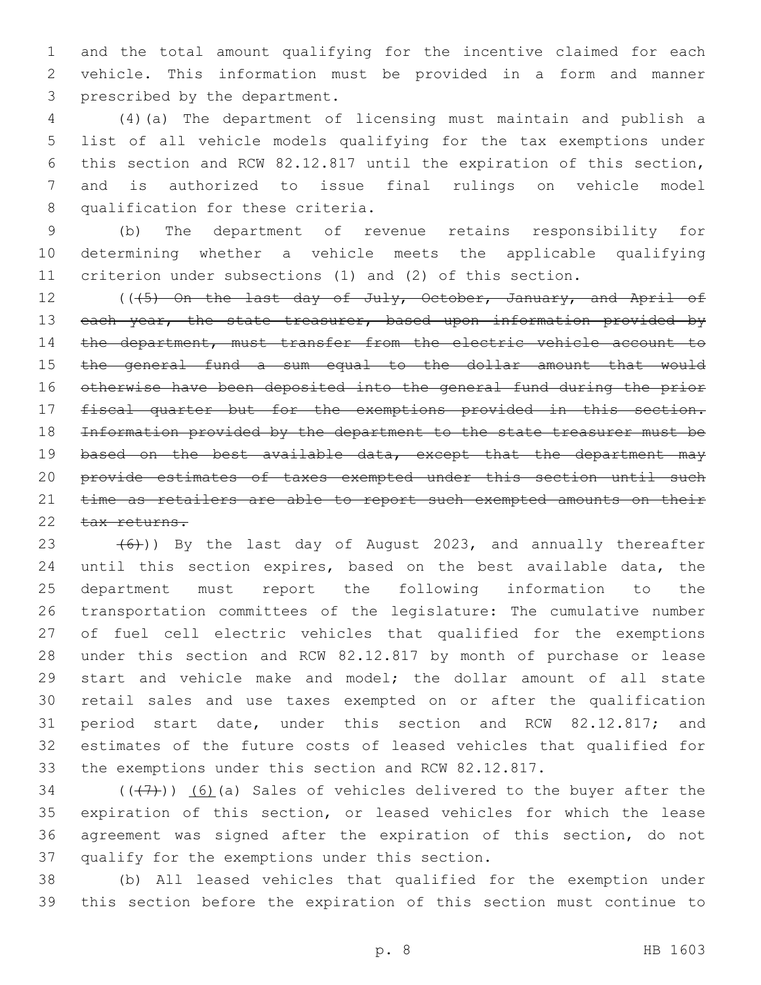and the total amount qualifying for the incentive claimed for each vehicle. This information must be provided in a form and manner 3 prescribed by the department.

 (4)(a) The department of licensing must maintain and publish a list of all vehicle models qualifying for the tax exemptions under this section and RCW 82.12.817 until the expiration of this section, and is authorized to issue final rulings on vehicle model 8 qualification for these criteria.

 (b) The department of revenue retains responsibility for determining whether a vehicle meets the applicable qualifying criterion under subsections (1) and (2) of this section.

12 ((45) On the last day of July, October, January, and April of 13 each year, the state treasurer, based upon information provided by 14 the department, must transfer from the electric vehicle account to the general fund a sum equal to the dollar amount that would otherwise have been deposited into the general fund during the prior fiscal quarter but for the exemptions provided in this section. Information provided by the department to the state treasurer must be 19 based on the best available data, except that the department may provide estimates of taxes exempted under this section until such 21 time as retailers are able to report such exempted amounts on their 22 tax returns.

 $(6)$ )) By the last day of August 2023, and annually thereafter until this section expires, based on the best available data, the department must report the following information to the transportation committees of the legislature: The cumulative number of fuel cell electric vehicles that qualified for the exemptions under this section and RCW 82.12.817 by month of purchase or lease 29 start and vehicle make and model; the dollar amount of all state retail sales and use taxes exempted on or after the qualification period start date, under this section and RCW 82.12.817; and estimates of the future costs of leased vehicles that qualified for the exemptions under this section and RCW 82.12.817.

 $(1, 7)$  (( $(1, 7)$ )) (6)(a) Sales of vehicles delivered to the buyer after the expiration of this section, or leased vehicles for which the lease agreement was signed after the expiration of this section, do not 37 qualify for the exemptions under this section.

 (b) All leased vehicles that qualified for the exemption under this section before the expiration of this section must continue to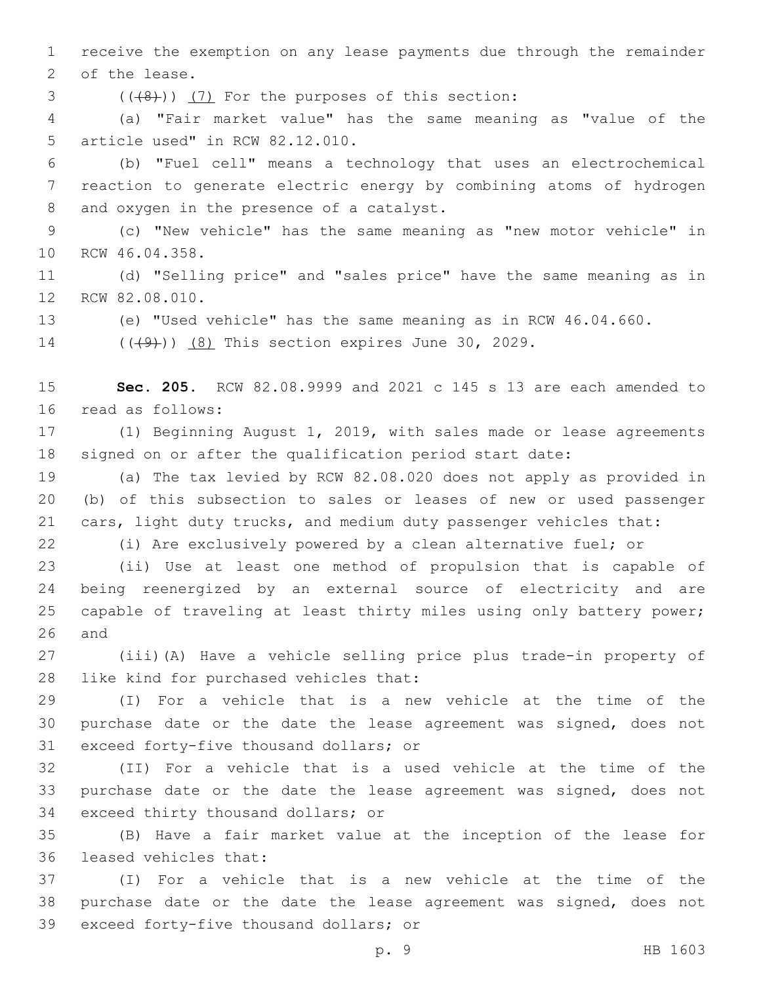receive the exemption on any lease payments due through the remainder 2 of the lease.

 $($   $((+8) )$   $(7)$  For the purposes of this section:

 (a) "Fair market value" has the same meaning as "value of the 5 article used" in RCW 82.12.010.

 (b) "Fuel cell" means a technology that uses an electrochemical reaction to generate electric energy by combining atoms of hydrogen 8 and oxygen in the presence of a catalyst.

 (c) "New vehicle" has the same meaning as "new motor vehicle" in 10 RCW 46.04.358.

 (d) "Selling price" and "sales price" have the same meaning as in 12 RCW 82.08.010.

(e) "Used vehicle" has the same meaning as in RCW 46.04.660.

14 (((49)) (8) This section expires June 30, 2029.

 **Sec. 205.** RCW 82.08.9999 and 2021 c 145 s 13 are each amended to 16 read as follows:

 (1) Beginning August 1, 2019, with sales made or lease agreements signed on or after the qualification period start date:

 (a) The tax levied by RCW 82.08.020 does not apply as provided in (b) of this subsection to sales or leases of new or used passenger cars, light duty trucks, and medium duty passenger vehicles that:

(i) Are exclusively powered by a clean alternative fuel; or

 (ii) Use at least one method of propulsion that is capable of being reenergized by an external source of electricity and are capable of traveling at least thirty miles using only battery power; and

 (iii)(A) Have a vehicle selling price plus trade-in property of 28 like kind for purchased vehicles that:

 (I) For a vehicle that is a new vehicle at the time of the purchase date or the date the lease agreement was signed, does not 31 exceed forty-five thousand dollars; or

 (II) For a vehicle that is a used vehicle at the time of the purchase date or the date the lease agreement was signed, does not 34 exceed thirty thousand dollars; or

 (B) Have a fair market value at the inception of the lease for 36 leased vehicles that:

 (I) For a vehicle that is a new vehicle at the time of the purchase date or the date the lease agreement was signed, does not 39 exceed forty-five thousand dollars; or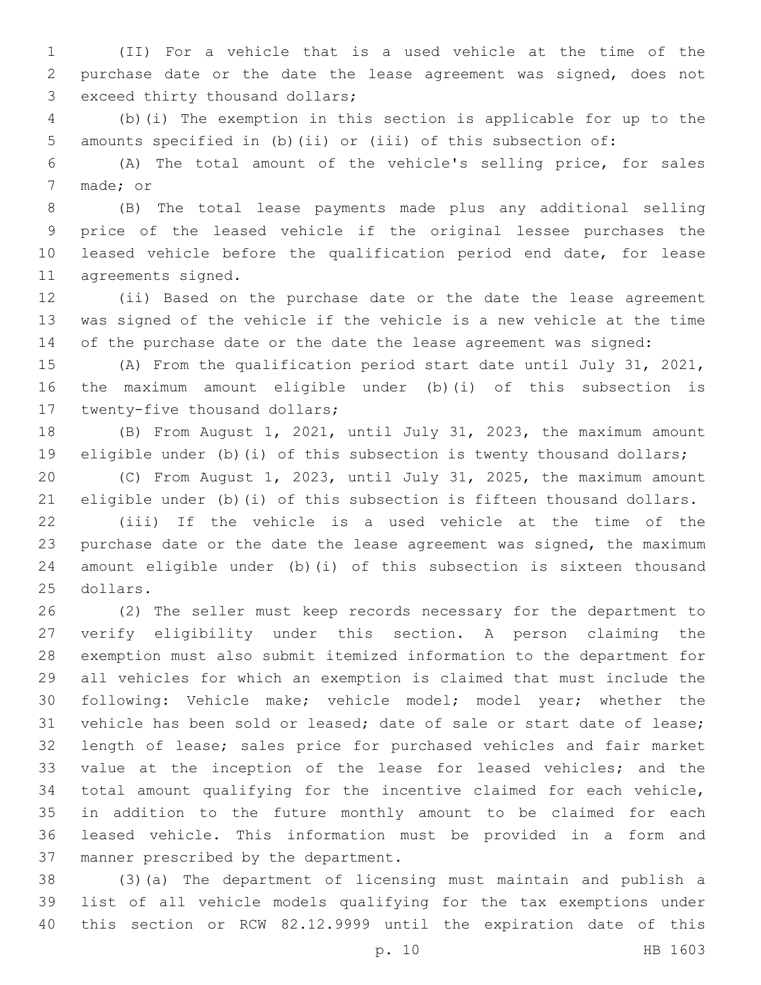(II) For a vehicle that is a used vehicle at the time of the purchase date or the date the lease agreement was signed, does not 3 exceed thirty thousand dollars;

 (b)(i) The exemption in this section is applicable for up to the amounts specified in (b)(ii) or (iii) of this subsection of:

 (A) The total amount of the vehicle's selling price, for sales 7 made; or

 (B) The total lease payments made plus any additional selling price of the leased vehicle if the original lessee purchases the leased vehicle before the qualification period end date, for lease 11 agreements signed.

 (ii) Based on the purchase date or the date the lease agreement was signed of the vehicle if the vehicle is a new vehicle at the time of the purchase date or the date the lease agreement was signed:

 (A) From the qualification period start date until July 31, 2021, the maximum amount eligible under (b)(i) of this subsection is 17 twenty-five thousand dollars;

 (B) From August 1, 2021, until July 31, 2023, the maximum amount eligible under (b)(i) of this subsection is twenty thousand dollars;

 (C) From August 1, 2023, until July 31, 2025, the maximum amount eligible under (b)(i) of this subsection is fifteen thousand dollars.

 (iii) If the vehicle is a used vehicle at the time of the purchase date or the date the lease agreement was signed, the maximum amount eligible under (b)(i) of this subsection is sixteen thousand 25 dollars.

 (2) The seller must keep records necessary for the department to verify eligibility under this section. A person claiming the exemption must also submit itemized information to the department for all vehicles for which an exemption is claimed that must include the following: Vehicle make; vehicle model; model year; whether the vehicle has been sold or leased; date of sale or start date of lease; length of lease; sales price for purchased vehicles and fair market value at the inception of the lease for leased vehicles; and the total amount qualifying for the incentive claimed for each vehicle, in addition to the future monthly amount to be claimed for each leased vehicle. This information must be provided in a form and 37 manner prescribed by the department.

 (3)(a) The department of licensing must maintain and publish a list of all vehicle models qualifying for the tax exemptions under this section or RCW 82.12.9999 until the expiration date of this

p. 10 HB 1603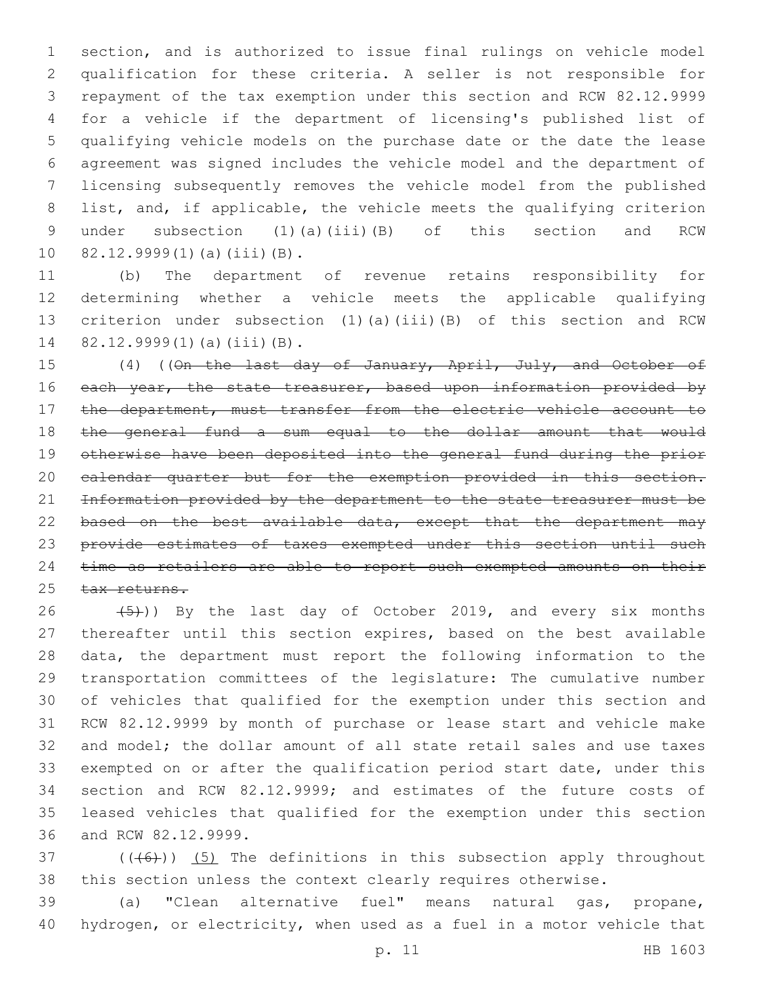section, and is authorized to issue final rulings on vehicle model qualification for these criteria. A seller is not responsible for repayment of the tax exemption under this section and RCW 82.12.9999 for a vehicle if the department of licensing's published list of qualifying vehicle models on the purchase date or the date the lease agreement was signed includes the vehicle model and the department of licensing subsequently removes the vehicle model from the published list, and, if applicable, the vehicle meets the qualifying criterion under subsection (1)(a)(iii)(B) of this section and RCW 10 82.12.9999(1)(a)(iii)(B).

 (b) The department of revenue retains responsibility for determining whether a vehicle meets the applicable qualifying criterion under subsection (1)(a)(iii)(B) of this section and RCW 14 82.12.9999(1)(a)(iii)(B).

15 (4) ((On the last day of January, April, July, and October of 16 each year, the state treasurer, based upon information provided by 17 the department, must transfer from the electric vehicle account to 18 the general fund a sum equal to the dollar amount that would otherwise have been deposited into the general fund during the prior calendar quarter but for the exemption provided in this section. 21 Information provided by the department to the state treasurer must be 22 based on the best available data, except that the department may provide estimates of taxes exempted under this section until such 24 time as retailers are able to report such exempted amounts on their 25 tax returns.

 $(5)$ )) By the last day of October 2019, and every six months thereafter until this section expires, based on the best available data, the department must report the following information to the transportation committees of the legislature: The cumulative number of vehicles that qualified for the exemption under this section and RCW 82.12.9999 by month of purchase or lease start and vehicle make and model; the dollar amount of all state retail sales and use taxes exempted on or after the qualification period start date, under this section and RCW 82.12.9999; and estimates of the future costs of leased vehicles that qualified for the exemption under this section 36 and RCW 82.12.9999.

 ((( $6$ ))) (5) The definitions in this subsection apply throughout this section unless the context clearly requires otherwise.

 (a) "Clean alternative fuel" means natural gas, propane, hydrogen, or electricity, when used as a fuel in a motor vehicle that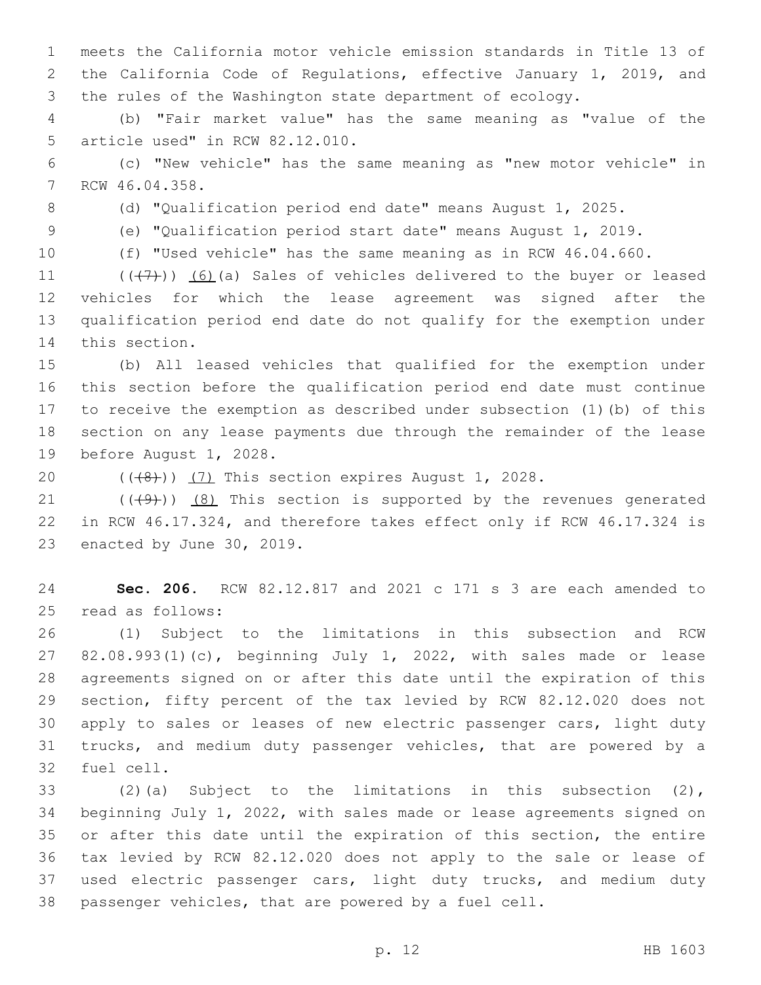meets the California motor vehicle emission standards in Title 13 of the California Code of Regulations, effective January 1, 2019, and the rules of the Washington state department of ecology.

 (b) "Fair market value" has the same meaning as "value of the 5 article used" in RCW 82.12.010.

 (c) "New vehicle" has the same meaning as "new motor vehicle" in 7 RCW 46.04.358.

(d) "Qualification period end date" means August 1, 2025.

(e) "Qualification period start date" means August 1, 2019.

(f) "Used vehicle" has the same meaning as in RCW 46.04.660.

 $((+7+))$   $(6)$  (a) Sales of vehicles delivered to the buyer or leased vehicles for which the lease agreement was signed after the qualification period end date do not qualify for the exemption under 14 this section.

 (b) All leased vehicles that qualified for the exemption under this section before the qualification period end date must continue to receive the exemption as described under subsection (1)(b) of this section on any lease payments due through the remainder of the lease 19 before August 1, 2028.

 $((\langle 8 \rangle)(7)$  This section expires August 1, 2028.

21  $((+9+))$   $(8)$  This section is supported by the revenues generated in RCW 46.17.324, and therefore takes effect only if RCW 46.17.324 is 23 enacted by June 30, 2019.

 **Sec. 206.** RCW 82.12.817 and 2021 c 171 s 3 are each amended to 25 read as follows:

 (1) Subject to the limitations in this subsection and RCW 82.08.993(1)(c), beginning July 1, 2022, with sales made or lease agreements signed on or after this date until the expiration of this section, fifty percent of the tax levied by RCW 82.12.020 does not apply to sales or leases of new electric passenger cars, light duty trucks, and medium duty passenger vehicles, that are powered by a 32 fuel cell.

 (2)(a) Subject to the limitations in this subsection (2), beginning July 1, 2022, with sales made or lease agreements signed on or after this date until the expiration of this section, the entire tax levied by RCW 82.12.020 does not apply to the sale or lease of 37 used electric passenger cars, light duty trucks, and medium duty passenger vehicles, that are powered by a fuel cell.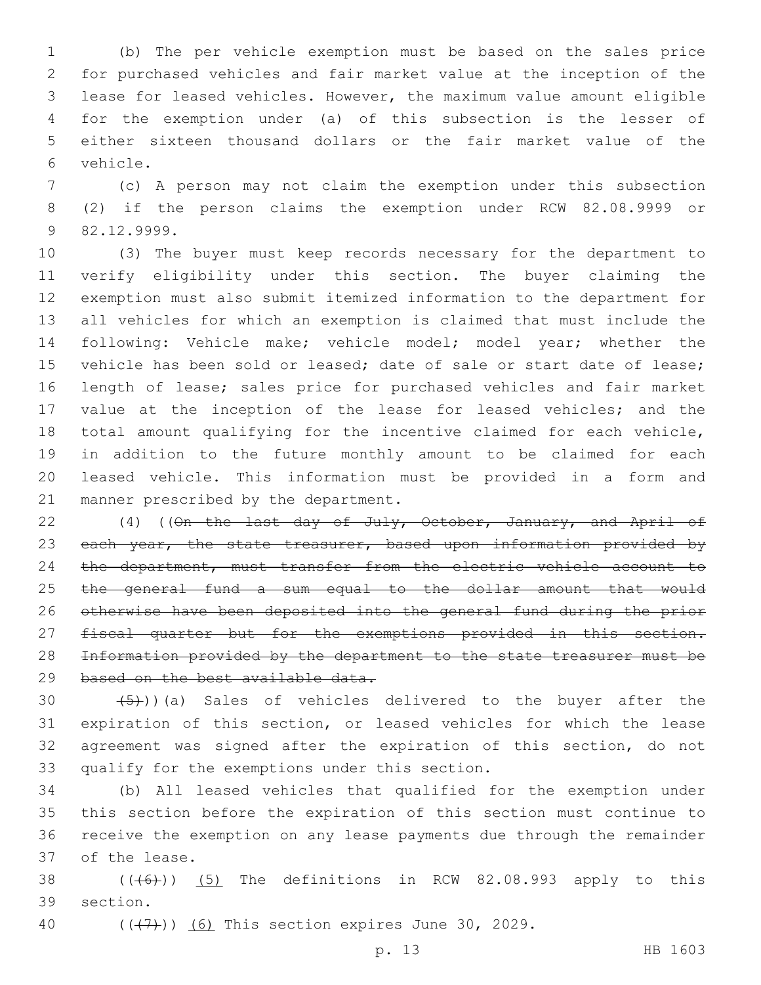(b) The per vehicle exemption must be based on the sales price for purchased vehicles and fair market value at the inception of the lease for leased vehicles. However, the maximum value amount eligible for the exemption under (a) of this subsection is the lesser of either sixteen thousand dollars or the fair market value of the vehicle.6

 (c) A person may not claim the exemption under this subsection (2) if the person claims the exemption under RCW 82.08.9999 or 82.12.9999.9

 (3) The buyer must keep records necessary for the department to verify eligibility under this section. The buyer claiming the exemption must also submit itemized information to the department for all vehicles for which an exemption is claimed that must include the following: Vehicle make; vehicle model; model year; whether the 15 vehicle has been sold or leased; date of sale or start date of lease; length of lease; sales price for purchased vehicles and fair market value at the inception of the lease for leased vehicles; and the total amount qualifying for the incentive claimed for each vehicle, in addition to the future monthly amount to be claimed for each leased vehicle. This information must be provided in a form and 21 manner prescribed by the department.

22 (4) ((On the last day of July, October, January, and April of 23 each year, the state treasurer, based upon information provided by 24 the department, must transfer from the electric vehicle account to the general fund a sum equal to the dollar amount that would otherwise have been deposited into the general fund during the prior 27 fiscal quarter but for the exemptions provided in this section. Information provided by the department to the state treasurer must be 29 based on the best available data.

 $(5)$ ))(a) Sales of vehicles delivered to the buyer after the expiration of this section, or leased vehicles for which the lease agreement was signed after the expiration of this section, do not 33 qualify for the exemptions under this section.

 (b) All leased vehicles that qualified for the exemption under this section before the expiration of this section must continue to receive the exemption on any lease payments due through the remainder 37 of the lease.

38  $((\text{(+6)}))$   $(5)$  The definitions in RCW 82.08.993 apply to this 39 section.

40  $((+7+))$  (6) This section expires June 30, 2029.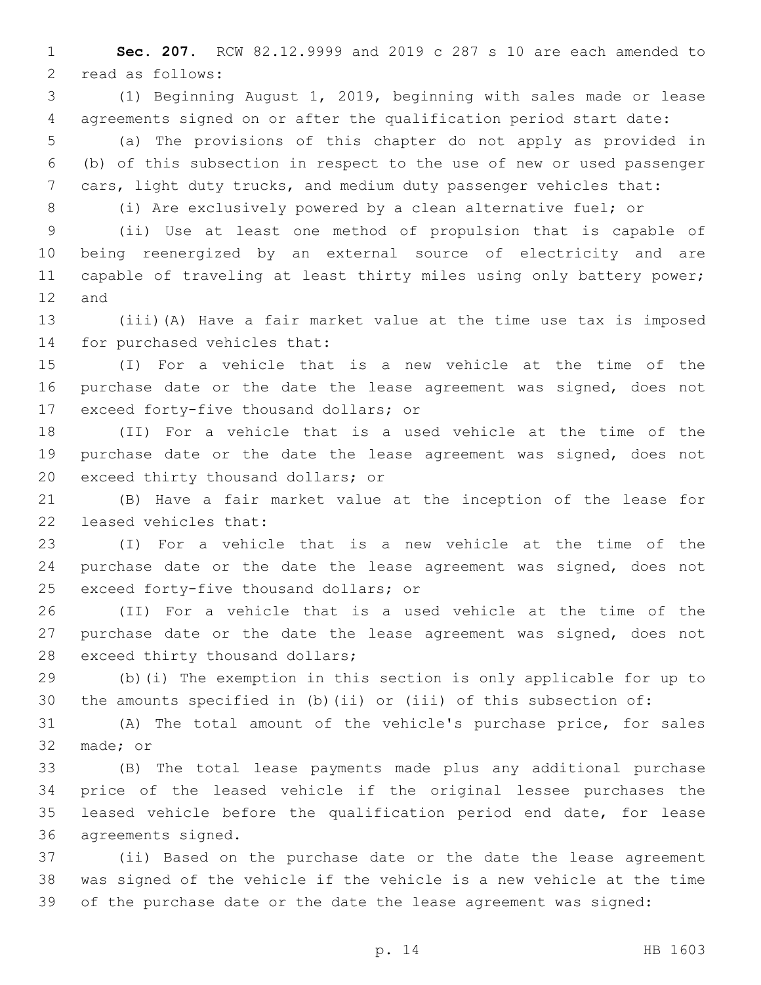**Sec. 207.** RCW 82.12.9999 and 2019 c 287 s 10 are each amended to 2 read as follows:

 (1) Beginning August 1, 2019, beginning with sales made or lease agreements signed on or after the qualification period start date:

 (a) The provisions of this chapter do not apply as provided in (b) of this subsection in respect to the use of new or used passenger cars, light duty trucks, and medium duty passenger vehicles that:

(i) Are exclusively powered by a clean alternative fuel; or

 (ii) Use at least one method of propulsion that is capable of being reenergized by an external source of electricity and are 11 capable of traveling at least thirty miles using only battery power; 12 and

 (iii)(A) Have a fair market value at the time use tax is imposed 14 for purchased vehicles that:

 (I) For a vehicle that is a new vehicle at the time of the 16 purchase date or the date the lease agreement was signed, does not 17 exceed forty-five thousand dollars; or

 (II) For a vehicle that is a used vehicle at the time of the purchase date or the date the lease agreement was signed, does not 20 exceed thirty thousand dollars; or

 (B) Have a fair market value at the inception of the lease for 22 leased vehicles that:

 (I) For a vehicle that is a new vehicle at the time of the purchase date or the date the lease agreement was signed, does not 25 exceed forty-five thousand dollars; or

 (II) For a vehicle that is a used vehicle at the time of the purchase date or the date the lease agreement was signed, does not 28 exceed thirty thousand dollars;

 (b)(i) The exemption in this section is only applicable for up to the amounts specified in (b)(ii) or (iii) of this subsection of:

 (A) The total amount of the vehicle's purchase price, for sales 32 made; or

 (B) The total lease payments made plus any additional purchase price of the leased vehicle if the original lessee purchases the leased vehicle before the qualification period end date, for lease 36 agreements signed.

 (ii) Based on the purchase date or the date the lease agreement was signed of the vehicle if the vehicle is a new vehicle at the time 39 of the purchase date or the date the lease agreement was signed: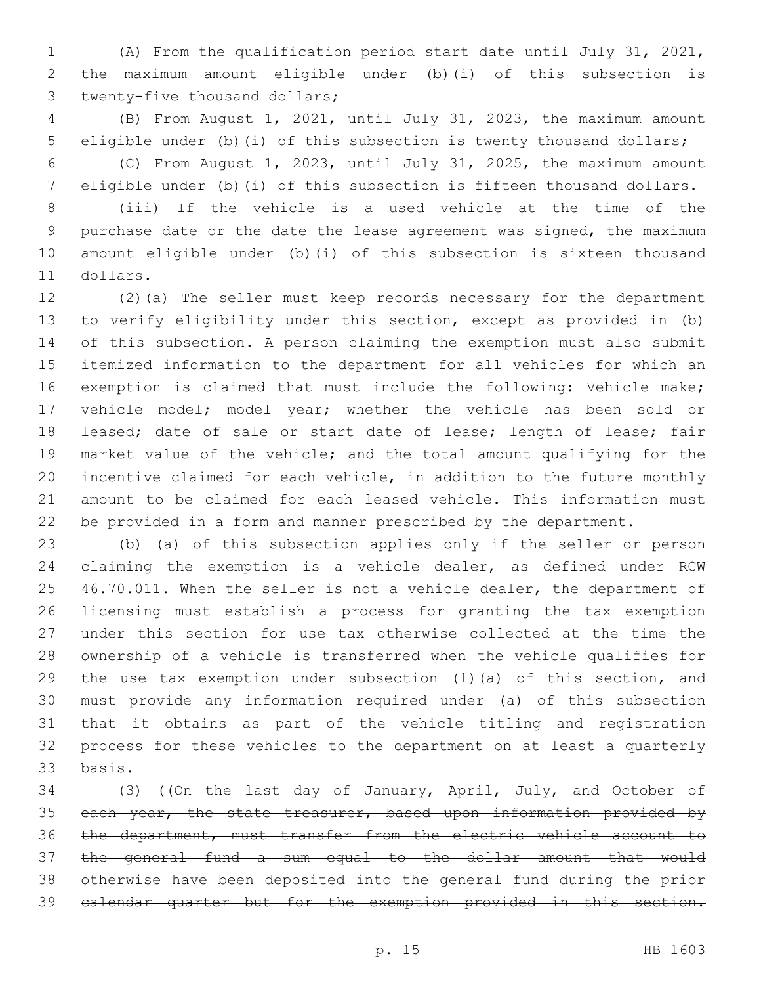(A) From the qualification period start date until July 31, 2021, the maximum amount eligible under (b)(i) of this subsection is 3 twenty-five thousand dollars;

 (B) From August 1, 2021, until July 31, 2023, the maximum amount eligible under (b)(i) of this subsection is twenty thousand dollars;

 (C) From August 1, 2023, until July 31, 2025, the maximum amount eligible under (b)(i) of this subsection is fifteen thousand dollars.

 (iii) If the vehicle is a used vehicle at the time of the purchase date or the date the lease agreement was signed, the maximum amount eligible under (b)(i) of this subsection is sixteen thousand 11 dollars.

 (2)(a) The seller must keep records necessary for the department to verify eligibility under this section, except as provided in (b) of this subsection. A person claiming the exemption must also submit itemized information to the department for all vehicles for which an exemption is claimed that must include the following: Vehicle make; vehicle model; model year; whether the vehicle has been sold or 18 leased; date of sale or start date of lease; length of lease; fair market value of the vehicle; and the total amount qualifying for the incentive claimed for each vehicle, in addition to the future monthly amount to be claimed for each leased vehicle. This information must be provided in a form and manner prescribed by the department.

 (b) (a) of this subsection applies only if the seller or person claiming the exemption is a vehicle dealer, as defined under RCW 46.70.011. When the seller is not a vehicle dealer, the department of licensing must establish a process for granting the tax exemption under this section for use tax otherwise collected at the time the ownership of a vehicle is transferred when the vehicle qualifies for the use tax exemption under subsection (1)(a) of this section, and must provide any information required under (a) of this subsection that it obtains as part of the vehicle titling and registration process for these vehicles to the department on at least a quarterly basis.33

34 (3) ((On the last day of January, April, July, and October of 35 each year, the state treasurer, based upon information provided by the department, must transfer from the electric vehicle account to the general fund a sum equal to the dollar amount that would otherwise have been deposited into the general fund during the prior calendar quarter but for the exemption provided in this section.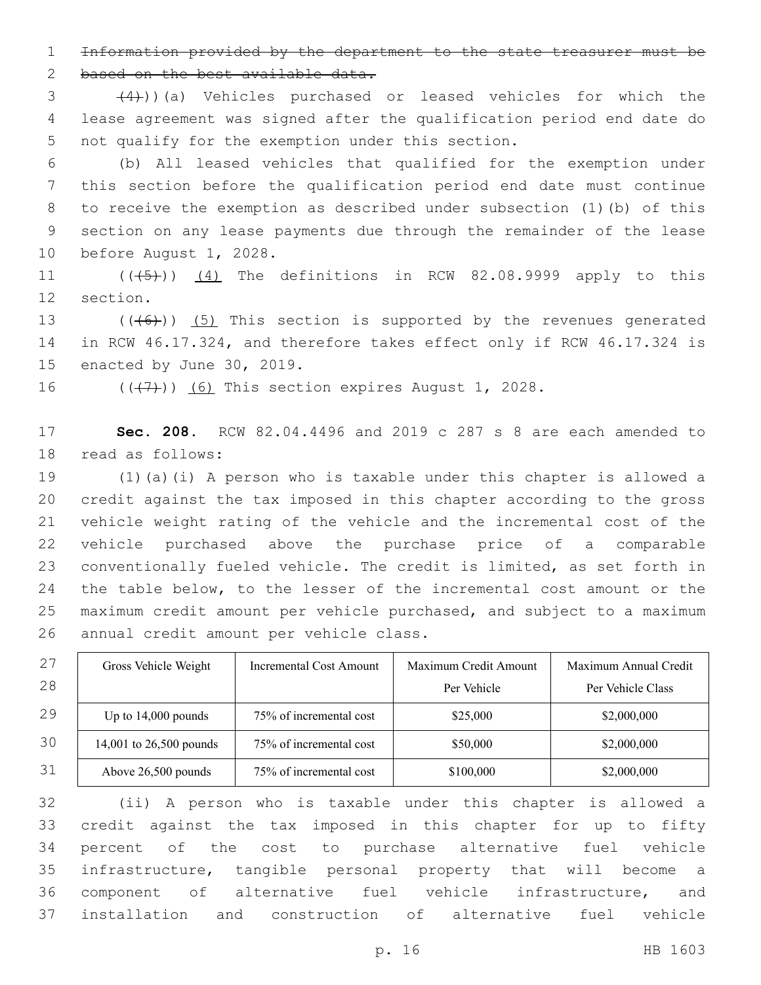Information provided by the department to the state treasurer must be

2 based on the best available data.

 $(4)$ ))(a) Vehicles purchased or leased vehicles for which the lease agreement was signed after the qualification period end date do 5 not qualify for the exemption under this section.

 (b) All leased vehicles that qualified for the exemption under this section before the qualification period end date must continue to receive the exemption as described under subsection (1)(b) of this section on any lease payments due through the remainder of the lease 10 before August 1, 2028.

11  $((+5+))$   $(4)$  The definitions in RCW 82.08.9999 apply to this 12 section.

13  $((+6))$   $(5)$  This section is supported by the revenues generated in RCW 46.17.324, and therefore takes effect only if RCW 46.17.324 is 15 enacted by June 30, 2019.

 $((+7+))$  (6) This section expires August 1, 2028.

 **Sec. 208.** RCW 82.04.4496 and 2019 c 287 s 8 are each amended to 18 read as follows:

 (1)(a)(i) A person who is taxable under this chapter is allowed a credit against the tax imposed in this chapter according to the gross vehicle weight rating of the vehicle and the incremental cost of the vehicle purchased above the purchase price of a comparable conventionally fueled vehicle. The credit is limited, as set forth in the table below, to the lesser of the incremental cost amount or the maximum credit amount per vehicle purchased, and subject to a maximum 26 annual credit amount per vehicle class.

| 27 | Gross Vehicle Weight    | Incremental Cost Amount | Maximum Credit Amount | Maximum Annual Credit |
|----|-------------------------|-------------------------|-----------------------|-----------------------|
| 28 |                         |                         | Per Vehicle           | Per Vehicle Class     |
| 29 | Up to $14,000$ pounds   | 75% of incremental cost | \$25,000              | \$2,000,000           |
| 30 | 14,001 to 26,500 pounds | 75% of incremental cost | \$50,000              | \$2,000,000           |
| 31 | Above 26,500 pounds     | 75% of incremental cost | \$100,000             | \$2,000,000           |

 (ii) A person who is taxable under this chapter is allowed a credit against the tax imposed in this chapter for up to fifty percent of the cost to purchase alternative fuel vehicle infrastructure, tangible personal property that will become a component of alternative fuel vehicle infrastructure, and installation and construction of alternative fuel vehicle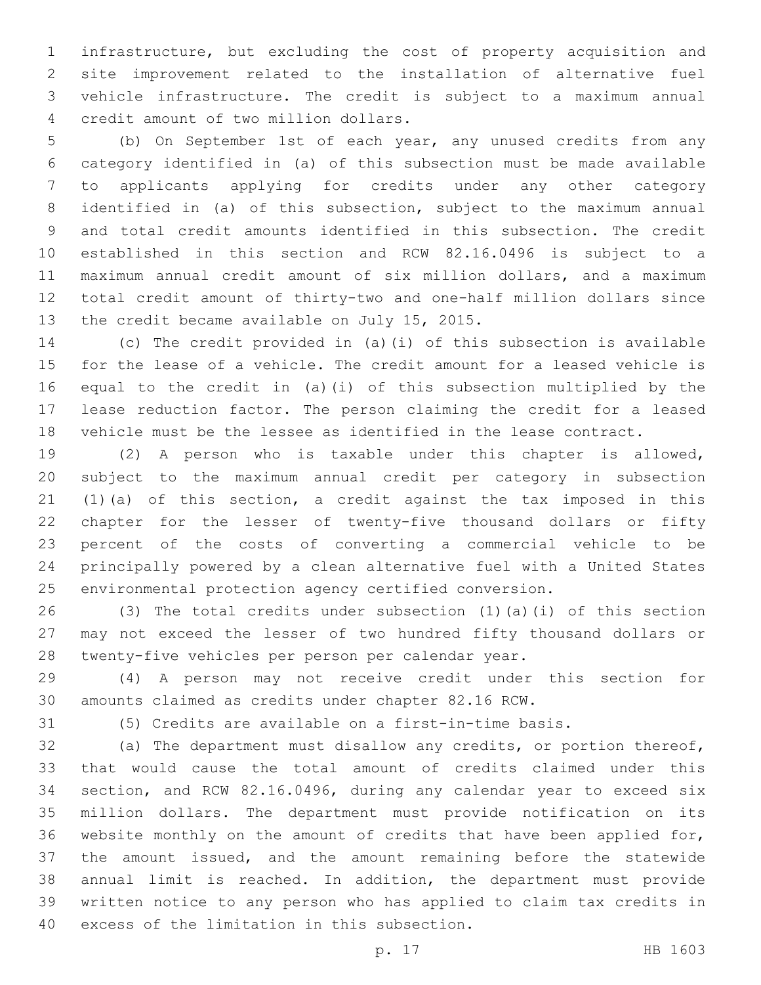infrastructure, but excluding the cost of property acquisition and site improvement related to the installation of alternative fuel vehicle infrastructure. The credit is subject to a maximum annual 4 credit amount of two million dollars.

 (b) On September 1st of each year, any unused credits from any category identified in (a) of this subsection must be made available to applicants applying for credits under any other category identified in (a) of this subsection, subject to the maximum annual and total credit amounts identified in this subsection. The credit established in this section and RCW 82.16.0496 is subject to a maximum annual credit amount of six million dollars, and a maximum total credit amount of thirty-two and one-half million dollars since 13 the credit became available on July 15, 2015.

 (c) The credit provided in (a)(i) of this subsection is available for the lease of a vehicle. The credit amount for a leased vehicle is equal to the credit in (a)(i) of this subsection multiplied by the lease reduction factor. The person claiming the credit for a leased vehicle must be the lessee as identified in the lease contract.

 (2) A person who is taxable under this chapter is allowed, subject to the maximum annual credit per category in subsection (1)(a) of this section, a credit against the tax imposed in this chapter for the lesser of twenty-five thousand dollars or fifty percent of the costs of converting a commercial vehicle to be principally powered by a clean alternative fuel with a United States environmental protection agency certified conversion.

 (3) The total credits under subsection (1)(a)(i) of this section may not exceed the lesser of two hundred fifty thousand dollars or twenty-five vehicles per person per calendar year.

 (4) A person may not receive credit under this section for amounts claimed as credits under chapter 82.16 RCW.

(5) Credits are available on a first-in-time basis.

 (a) The department must disallow any credits, or portion thereof, that would cause the total amount of credits claimed under this section, and RCW 82.16.0496, during any calendar year to exceed six million dollars. The department must provide notification on its website monthly on the amount of credits that have been applied for, the amount issued, and the amount remaining before the statewide annual limit is reached. In addition, the department must provide written notice to any person who has applied to claim tax credits in 40 excess of the limitation in this subsection.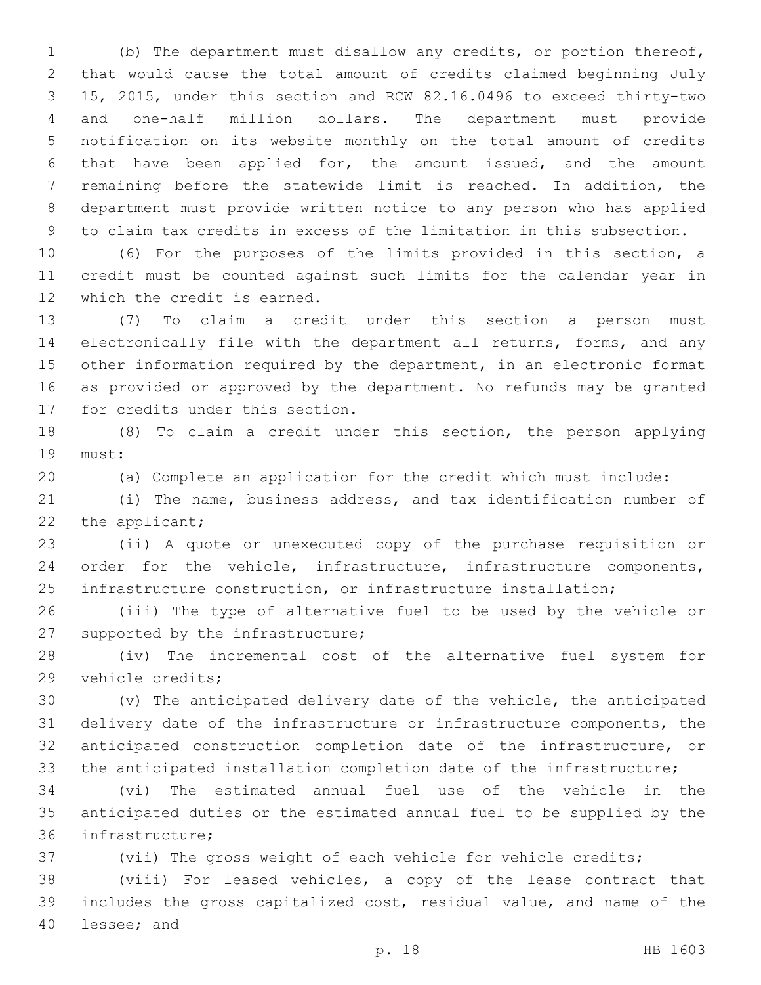(b) The department must disallow any credits, or portion thereof, that would cause the total amount of credits claimed beginning July 15, 2015, under this section and RCW 82.16.0496 to exceed thirty-two and one-half million dollars. The department must provide notification on its website monthly on the total amount of credits that have been applied for, the amount issued, and the amount remaining before the statewide limit is reached. In addition, the department must provide written notice to any person who has applied to claim tax credits in excess of the limitation in this subsection.

 (6) For the purposes of the limits provided in this section, a credit must be counted against such limits for the calendar year in 12 which the credit is earned.

 (7) To claim a credit under this section a person must electronically file with the department all returns, forms, and any other information required by the department, in an electronic format as provided or approved by the department. No refunds may be granted 17 for credits under this section.

 (8) To claim a credit under this section, the person applying 19 must:

(a) Complete an application for the credit which must include:

 (i) The name, business address, and tax identification number of 22 the applicant;

 (ii) A quote or unexecuted copy of the purchase requisition or order for the vehicle, infrastructure, infrastructure components, infrastructure construction, or infrastructure installation;

 (iii) The type of alternative fuel to be used by the vehicle or 27 supported by the infrastructure;

 (iv) The incremental cost of the alternative fuel system for 29 vehicle credits;

 (v) The anticipated delivery date of the vehicle, the anticipated delivery date of the infrastructure or infrastructure components, the anticipated construction completion date of the infrastructure, or the anticipated installation completion date of the infrastructure;

 (vi) The estimated annual fuel use of the vehicle in the anticipated duties or the estimated annual fuel to be supplied by the 36 infrastructure;

(vii) The gross weight of each vehicle for vehicle credits;

 (viii) For leased vehicles, a copy of the lease contract that includes the gross capitalized cost, residual value, and name of the 40 lessee; and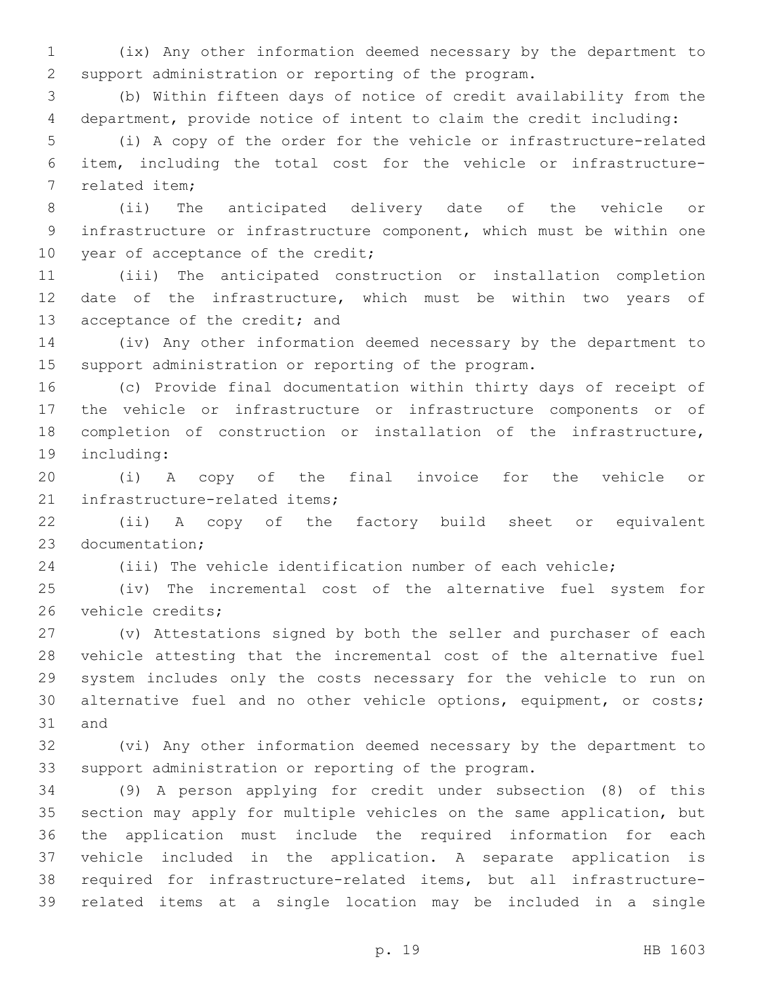(ix) Any other information deemed necessary by the department to support administration or reporting of the program.

 (b) Within fifteen days of notice of credit availability from the department, provide notice of intent to claim the credit including:

 (i) A copy of the order for the vehicle or infrastructure-related item, including the total cost for the vehicle or infrastructure-7 related item;

 (ii) The anticipated delivery date of the vehicle or infrastructure or infrastructure component, which must be within one 10 year of acceptance of the credit;

 (iii) The anticipated construction or installation completion date of the infrastructure, which must be within two years of 13 acceptance of the credit; and

 (iv) Any other information deemed necessary by the department to support administration or reporting of the program.

 (c) Provide final documentation within thirty days of receipt of the vehicle or infrastructure or infrastructure components or of completion of construction or installation of the infrastructure, 19 including:

 (i) A copy of the final invoice for the vehicle or 21 infrastructure-related items;

 (ii) A copy of the factory build sheet or equivalent 23 documentation:

(iii) The vehicle identification number of each vehicle;

 (iv) The incremental cost of the alternative fuel system for 26 vehicle credits;

 (v) Attestations signed by both the seller and purchaser of each vehicle attesting that the incremental cost of the alternative fuel system includes only the costs necessary for the vehicle to run on alternative fuel and no other vehicle options, equipment, or costs; 31 and

 (vi) Any other information deemed necessary by the department to support administration or reporting of the program.

 (9) A person applying for credit under subsection (8) of this section may apply for multiple vehicles on the same application, but the application must include the required information for each vehicle included in the application. A separate application is required for infrastructure-related items, but all infrastructure-related items at a single location may be included in a single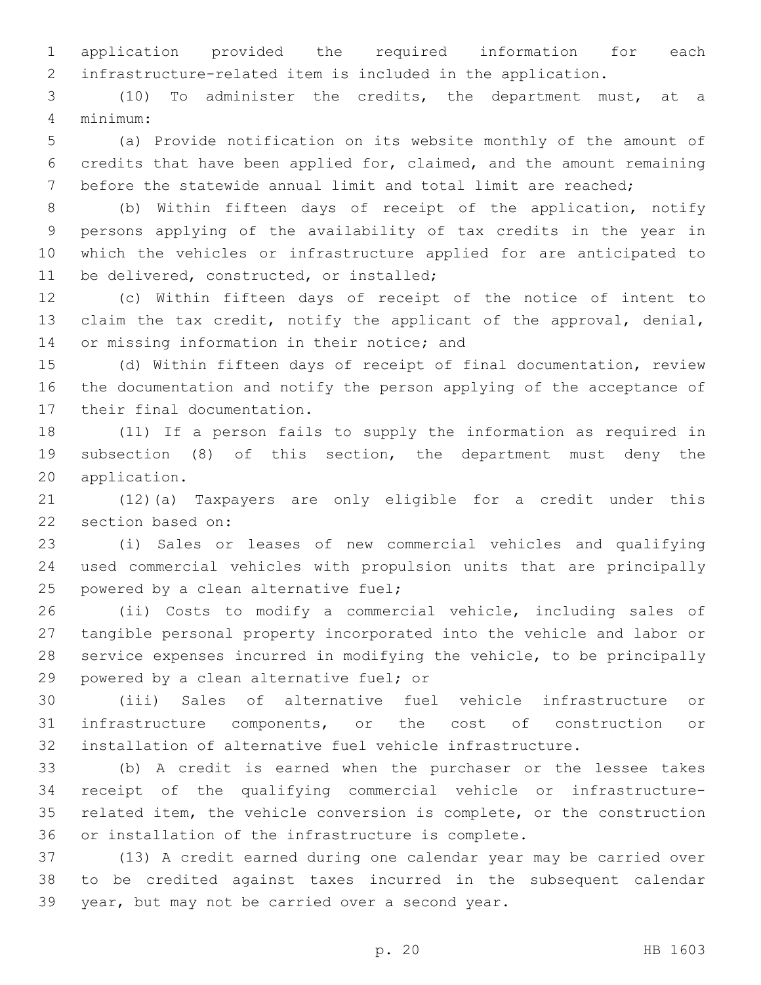application provided the required information for each infrastructure-related item is included in the application.

 (10) To administer the credits, the department must, at a minimum:4

 (a) Provide notification on its website monthly of the amount of credits that have been applied for, claimed, and the amount remaining before the statewide annual limit and total limit are reached;

 (b) Within fifteen days of receipt of the application, notify persons applying of the availability of tax credits in the year in which the vehicles or infrastructure applied for are anticipated to 11 be delivered, constructed, or installed;

 (c) Within fifteen days of receipt of the notice of intent to claim the tax credit, notify the applicant of the approval, denial, 14 or missing information in their notice; and

 (d) Within fifteen days of receipt of final documentation, review the documentation and notify the person applying of the acceptance of 17 their final documentation.

 (11) If a person fails to supply the information as required in subsection (8) of this section, the department must deny the 20 application.

 (12)(a) Taxpayers are only eligible for a credit under this 22 section based on:

 (i) Sales or leases of new commercial vehicles and qualifying used commercial vehicles with propulsion units that are principally 25 powered by a clean alternative fuel;

 (ii) Costs to modify a commercial vehicle, including sales of tangible personal property incorporated into the vehicle and labor or service expenses incurred in modifying the vehicle, to be principally 29 powered by a clean alternative fuel; or

 (iii) Sales of alternative fuel vehicle infrastructure or infrastructure components, or the cost of construction or installation of alternative fuel vehicle infrastructure.

 (b) A credit is earned when the purchaser or the lessee takes receipt of the qualifying commercial vehicle or infrastructure- related item, the vehicle conversion is complete, or the construction or installation of the infrastructure is complete.

 (13) A credit earned during one calendar year may be carried over to be credited against taxes incurred in the subsequent calendar 39 year, but may not be carried over a second year.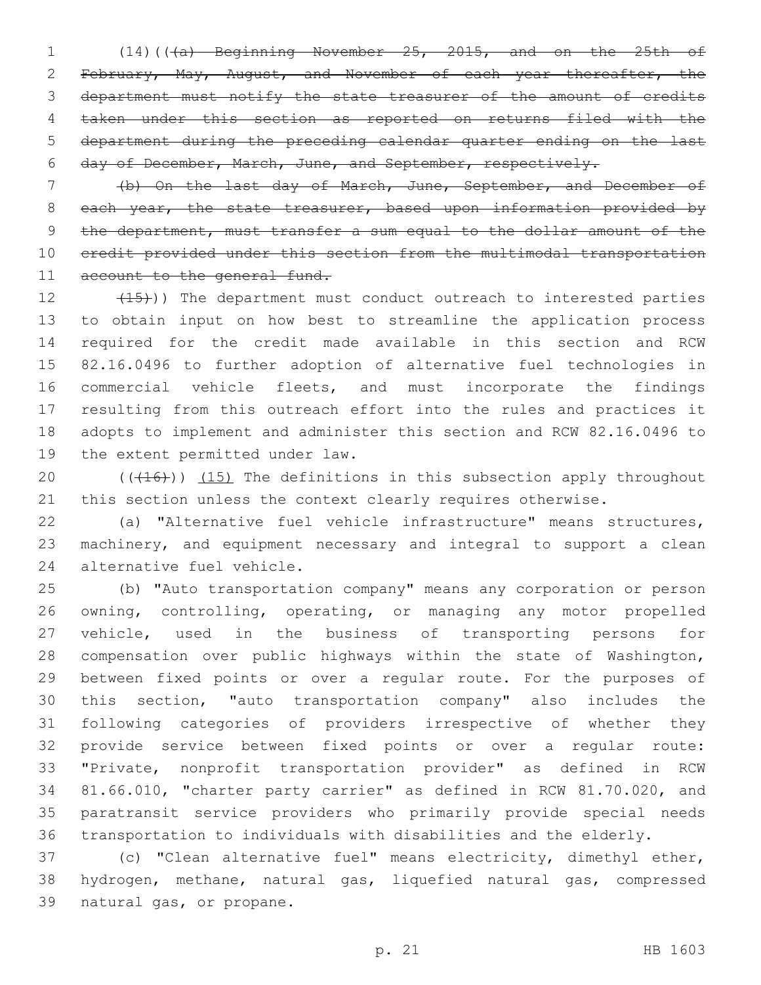(14)(((a) Beginning November 25, 2015, and on the 25th of February, May, August, and November of each year thereafter, the department must notify the state treasurer of the amount of credits taken under this section as reported on returns filed with the department during the preceding calendar quarter ending on the last day of December, March, June, and September, respectively.

 (b) On the last day of March, June, September, and December of 8 each year, the state treasurer, based upon information provided by the department, must transfer a sum equal to the dollar amount of the credit provided under this section from the multimodal transportation 11 account to the general fund.

12 (15)) The department must conduct outreach to interested parties to obtain input on how best to streamline the application process required for the credit made available in this section and RCW 82.16.0496 to further adoption of alternative fuel technologies in commercial vehicle fleets, and must incorporate the findings resulting from this outreach effort into the rules and practices it adopts to implement and administer this section and RCW 82.16.0496 to 19 the extent permitted under law.

20  $((+16))$   $(15)$  The definitions in this subsection apply throughout 21 this section unless the context clearly requires otherwise.

 (a) "Alternative fuel vehicle infrastructure" means structures, machinery, and equipment necessary and integral to support a clean 24 alternative fuel vehicle.

 (b) "Auto transportation company" means any corporation or person owning, controlling, operating, or managing any motor propelled vehicle, used in the business of transporting persons for compensation over public highways within the state of Washington, between fixed points or over a regular route. For the purposes of this section, "auto transportation company" also includes the following categories of providers irrespective of whether they provide service between fixed points or over a regular route: "Private, nonprofit transportation provider" as defined in RCW 81.66.010, "charter party carrier" as defined in RCW 81.70.020, and paratransit service providers who primarily provide special needs transportation to individuals with disabilities and the elderly.

 (c) "Clean alternative fuel" means electricity, dimethyl ether, hydrogen, methane, natural gas, liquefied natural gas, compressed 39 natural gas, or propane.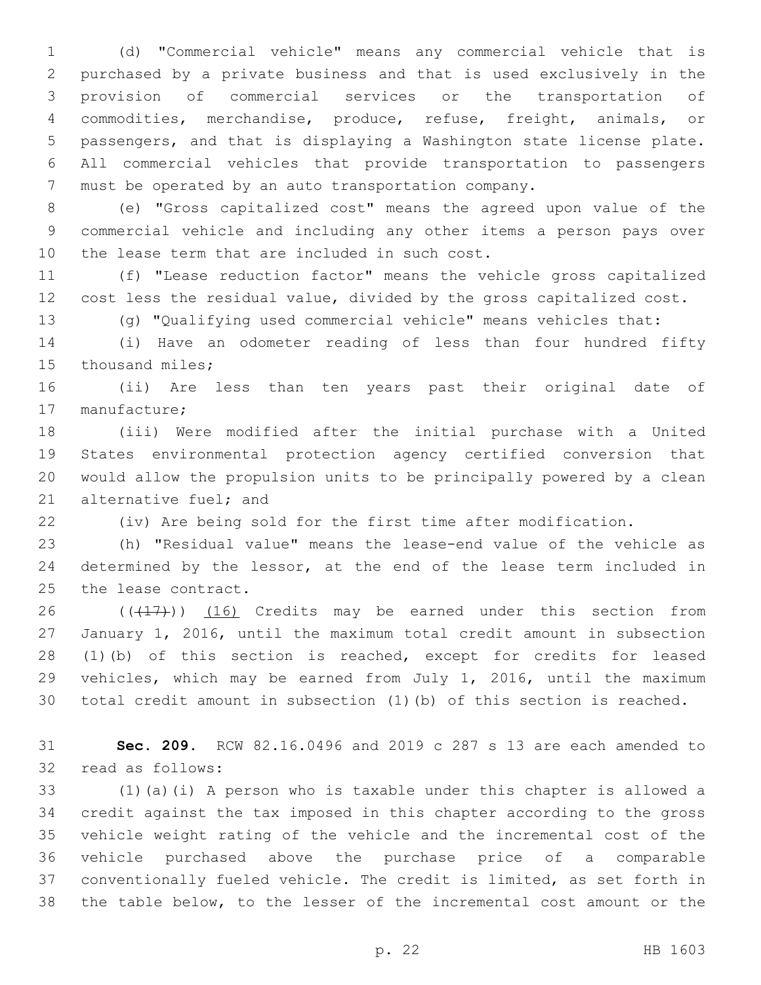(d) "Commercial vehicle" means any commercial vehicle that is purchased by a private business and that is used exclusively in the provision of commercial services or the transportation of commodities, merchandise, produce, refuse, freight, animals, or passengers, and that is displaying a Washington state license plate. All commercial vehicles that provide transportation to passengers must be operated by an auto transportation company.

 (e) "Gross capitalized cost" means the agreed upon value of the commercial vehicle and including any other items a person pays over 10 the lease term that are included in such cost.

 (f) "Lease reduction factor" means the vehicle gross capitalized cost less the residual value, divided by the gross capitalized cost.

(g) "Qualifying used commercial vehicle" means vehicles that:

 (i) Have an odometer reading of less than four hundred fifty 15 thousand miles;

 (ii) Are less than ten years past their original date of 17 manufacture;

 (iii) Were modified after the initial purchase with a United States environmental protection agency certified conversion that would allow the propulsion units to be principally powered by a clean 21 alternative fuel; and

(iv) Are being sold for the first time after modification.

 (h) "Residual value" means the lease-end value of the vehicle as 24 determined by the lessor, at the end of the lease term included in 25 the lease contract.

 $((+17))$   $(16)$  Credits may be earned under this section from January 1, 2016, until the maximum total credit amount in subsection (1)(b) of this section is reached, except for credits for leased vehicles, which may be earned from July 1, 2016, until the maximum total credit amount in subsection (1)(b) of this section is reached.

 **Sec. 209.** RCW 82.16.0496 and 2019 c 287 s 13 are each amended to 32 read as follows:

 (1)(a)(i) A person who is taxable under this chapter is allowed a credit against the tax imposed in this chapter according to the gross vehicle weight rating of the vehicle and the incremental cost of the vehicle purchased above the purchase price of a comparable conventionally fueled vehicle. The credit is limited, as set forth in the table below, to the lesser of the incremental cost amount or the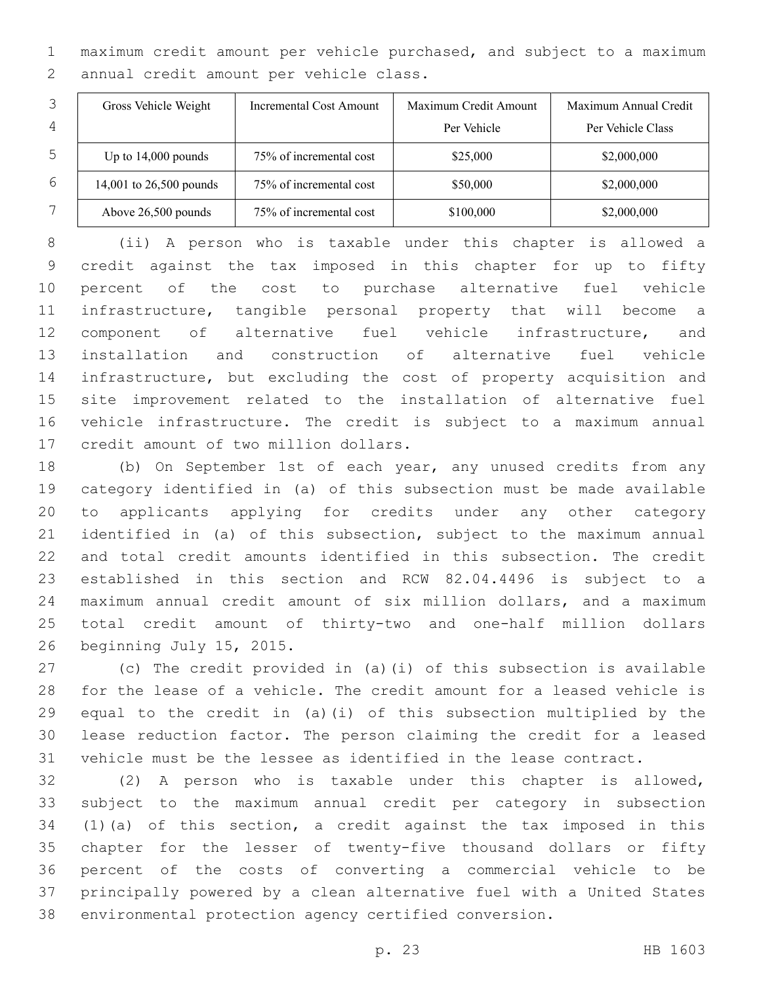maximum credit amount per vehicle purchased, and subject to a maximum 2 annual credit amount per vehicle class.

|   | Gross Vehicle Weight    | Incremental Cost Amount | Maximum Credit Amount | Maximum Annual Credit |
|---|-------------------------|-------------------------|-----------------------|-----------------------|
| 4 |                         |                         | Per Vehicle           | Per Vehicle Class     |
| 5 | Up to $14,000$ pounds   | 75% of incremental cost | \$25,000              | \$2,000,000           |
| 6 | 14,001 to 26,500 pounds | 75% of incremental cost | \$50,000              | \$2,000,000           |
|   | Above 26,500 pounds     | 75% of incremental cost | \$100,000             | \$2,000,000           |

 (ii) A person who is taxable under this chapter is allowed a credit against the tax imposed in this chapter for up to fifty percent of the cost to purchase alternative fuel vehicle infrastructure, tangible personal property that will become a component of alternative fuel vehicle infrastructure, and installation and construction of alternative fuel vehicle infrastructure, but excluding the cost of property acquisition and site improvement related to the installation of alternative fuel vehicle infrastructure. The credit is subject to a maximum annual 17 credit amount of two million dollars.

 (b) On September 1st of each year, any unused credits from any category identified in (a) of this subsection must be made available to applicants applying for credits under any other category identified in (a) of this subsection, subject to the maximum annual and total credit amounts identified in this subsection. The credit established in this section and RCW 82.04.4496 is subject to a maximum annual credit amount of six million dollars, and a maximum total credit amount of thirty-two and one-half million dollars 26 beginning July 15, 2015.

 (c) The credit provided in (a)(i) of this subsection is available for the lease of a vehicle. The credit amount for a leased vehicle is equal to the credit in (a)(i) of this subsection multiplied by the lease reduction factor. The person claiming the credit for a leased vehicle must be the lessee as identified in the lease contract.

 (2) A person who is taxable under this chapter is allowed, subject to the maximum annual credit per category in subsection (1)(a) of this section, a credit against the tax imposed in this chapter for the lesser of twenty-five thousand dollars or fifty percent of the costs of converting a commercial vehicle to be principally powered by a clean alternative fuel with a United States environmental protection agency certified conversion.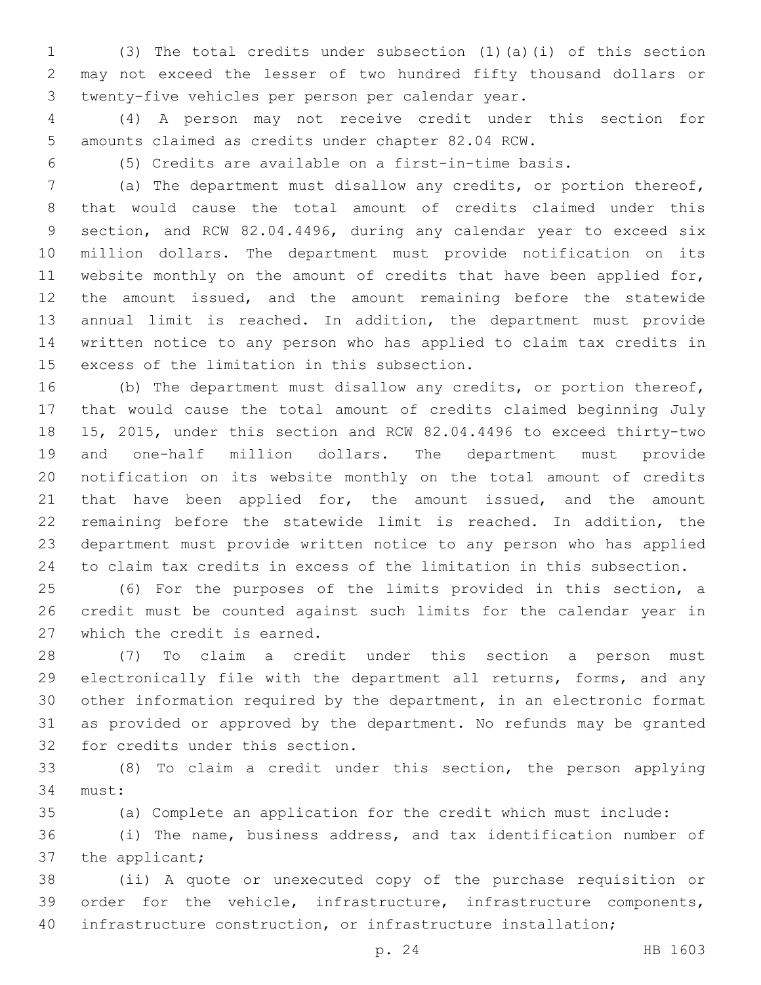(3) The total credits under subsection (1)(a)(i) of this section may not exceed the lesser of two hundred fifty thousand dollars or twenty-five vehicles per person per calendar year.3

 (4) A person may not receive credit under this section for amounts claimed as credits under chapter 82.04 RCW.

(5) Credits are available on a first-in-time basis.

 (a) The department must disallow any credits, or portion thereof, that would cause the total amount of credits claimed under this section, and RCW 82.04.4496, during any calendar year to exceed six million dollars. The department must provide notification on its website monthly on the amount of credits that have been applied for, the amount issued, and the amount remaining before the statewide annual limit is reached. In addition, the department must provide written notice to any person who has applied to claim tax credits in 15 excess of the limitation in this subsection.

 (b) The department must disallow any credits, or portion thereof, that would cause the total amount of credits claimed beginning July 15, 2015, under this section and RCW 82.04.4496 to exceed thirty-two and one-half million dollars. The department must provide notification on its website monthly on the total amount of credits 21 that have been applied for, the amount issued, and the amount remaining before the statewide limit is reached. In addition, the department must provide written notice to any person who has applied to claim tax credits in excess of the limitation in this subsection.

 (6) For the purposes of the limits provided in this section, a credit must be counted against such limits for the calendar year in 27 which the credit is earned.

 (7) To claim a credit under this section a person must electronically file with the department all returns, forms, and any other information required by the department, in an electronic format as provided or approved by the department. No refunds may be granted 32 for credits under this section.

 (8) To claim a credit under this section, the person applying 34 must:

(a) Complete an application for the credit which must include:

 (i) The name, business address, and tax identification number of 37 the applicant;

 (ii) A quote or unexecuted copy of the purchase requisition or order for the vehicle, infrastructure, infrastructure components, infrastructure construction, or infrastructure installation;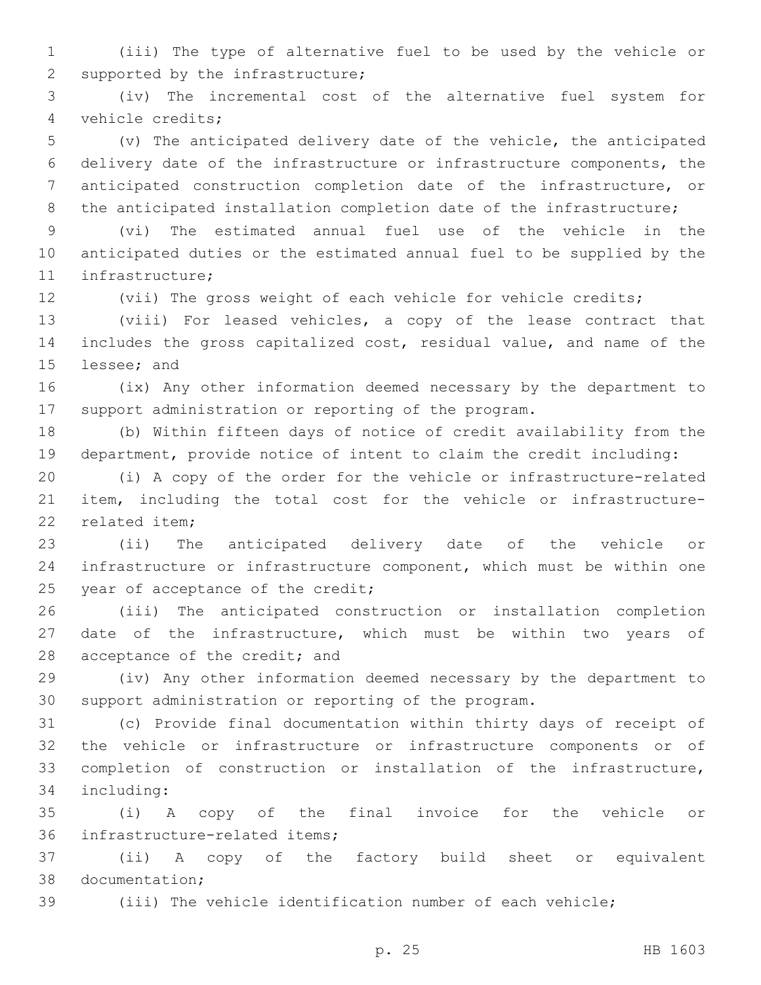(iii) The type of alternative fuel to be used by the vehicle or 2 supported by the infrastructure;

 (iv) The incremental cost of the alternative fuel system for 4 vehicle credits;

 (v) The anticipated delivery date of the vehicle, the anticipated delivery date of the infrastructure or infrastructure components, the anticipated construction completion date of the infrastructure, or 8 the anticipated installation completion date of the infrastructure;

 (vi) The estimated annual fuel use of the vehicle in the anticipated duties or the estimated annual fuel to be supplied by the 11 infrastructure;

(vii) The gross weight of each vehicle for vehicle credits;

 (viii) For leased vehicles, a copy of the lease contract that includes the gross capitalized cost, residual value, and name of the 15 lessee; and

 (ix) Any other information deemed necessary by the department to support administration or reporting of the program.

 (b) Within fifteen days of notice of credit availability from the department, provide notice of intent to claim the credit including:

 (i) A copy of the order for the vehicle or infrastructure-related item, including the total cost for the vehicle or infrastructure-22 related item:

 (ii) The anticipated delivery date of the vehicle or infrastructure or infrastructure component, which must be within one 25 year of acceptance of the credit;

 (iii) The anticipated construction or installation completion date of the infrastructure, which must be within two years of 28 acceptance of the credit; and

 (iv) Any other information deemed necessary by the department to support administration or reporting of the program.

 (c) Provide final documentation within thirty days of receipt of the vehicle or infrastructure or infrastructure components or of completion of construction or installation of the infrastructure, 34 including:

 (i) A copy of the final invoice for the vehicle or 36 infrastructure-related items;

 (ii) A copy of the factory build sheet or equivalent 38 documentation:

(iii) The vehicle identification number of each vehicle;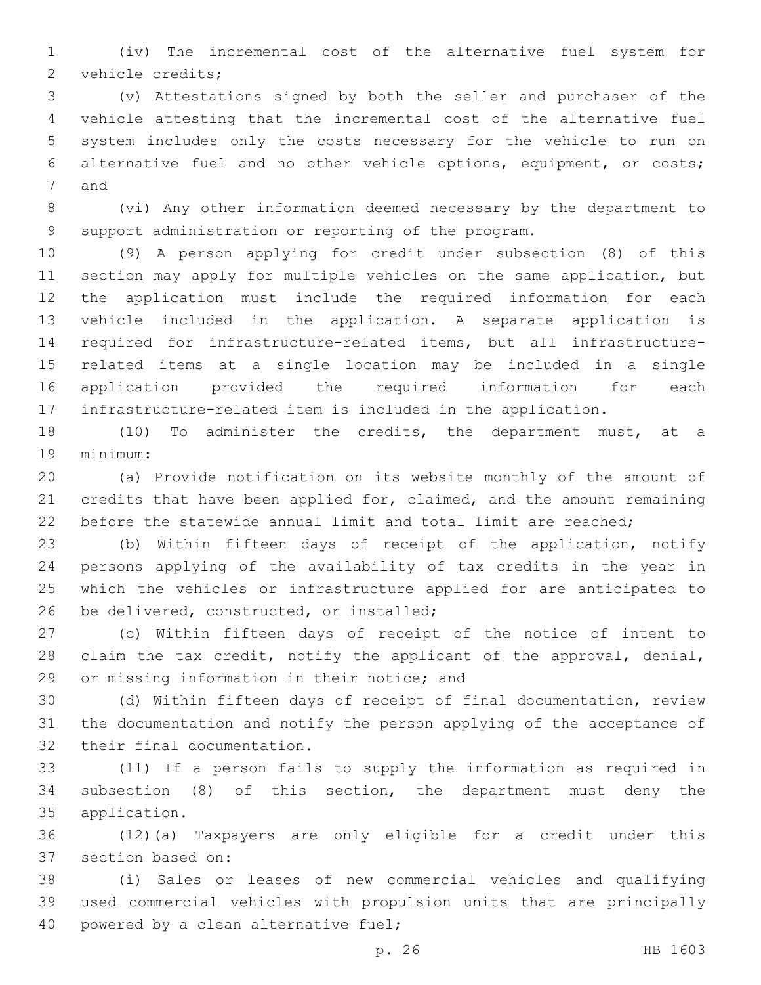(iv) The incremental cost of the alternative fuel system for 2 vehicle credits;

 (v) Attestations signed by both the seller and purchaser of the vehicle attesting that the incremental cost of the alternative fuel system includes only the costs necessary for the vehicle to run on alternative fuel and no other vehicle options, equipment, or costs; 7 and

 (vi) Any other information deemed necessary by the department to support administration or reporting of the program.

 (9) A person applying for credit under subsection (8) of this section may apply for multiple vehicles on the same application, but the application must include the required information for each vehicle included in the application. A separate application is required for infrastructure-related items, but all infrastructure- related items at a single location may be included in a single application provided the required information for each infrastructure-related item is included in the application.

 (10) To administer the credits, the department must, at a 19 minimum:

 (a) Provide notification on its website monthly of the amount of credits that have been applied for, claimed, and the amount remaining 22 before the statewide annual limit and total limit are reached;

 (b) Within fifteen days of receipt of the application, notify persons applying of the availability of tax credits in the year in which the vehicles or infrastructure applied for are anticipated to 26 be delivered, constructed, or installed;

 (c) Within fifteen days of receipt of the notice of intent to 28 claim the tax credit, notify the applicant of the approval, denial, 29 or missing information in their notice; and

 (d) Within fifteen days of receipt of final documentation, review the documentation and notify the person applying of the acceptance of 32 their final documentation.

 (11) If a person fails to supply the information as required in subsection (8) of this section, the department must deny the 35 application.

 (12)(a) Taxpayers are only eligible for a credit under this 37 section based on:

 (i) Sales or leases of new commercial vehicles and qualifying used commercial vehicles with propulsion units that are principally 40 powered by a clean alternative fuel;